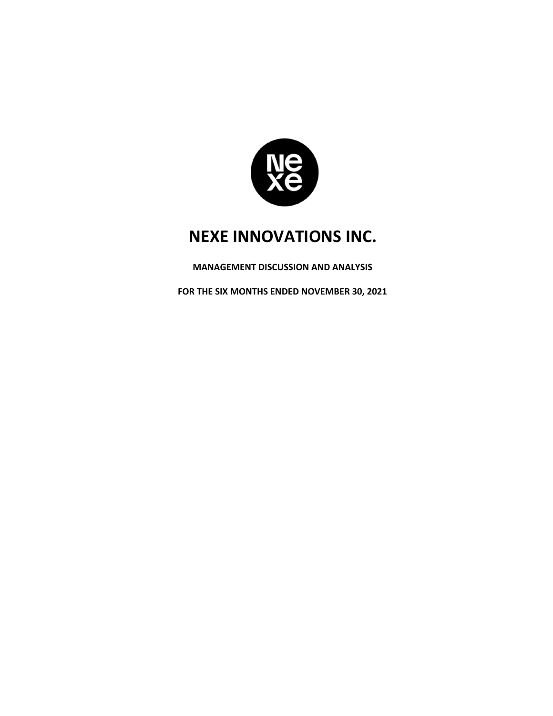

**MANAGEMENT DISCUSSION AND ANALYSIS** 

**FOR THE SIX MONTHS ENDED NOVEMBER 30, 2021**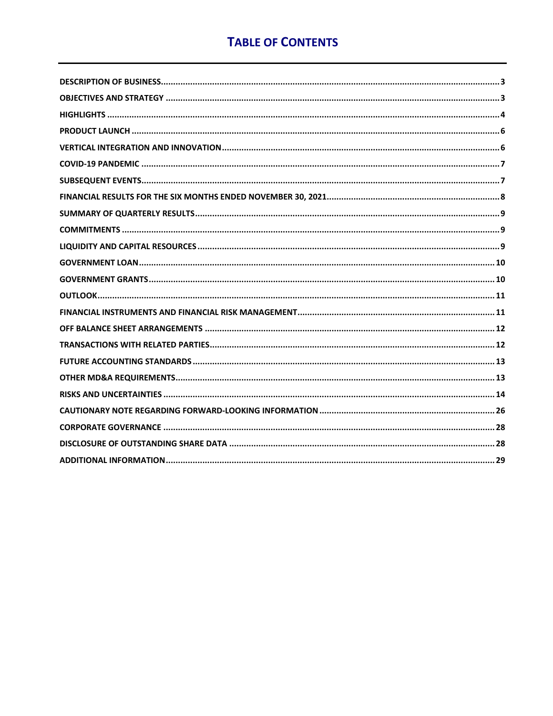# **TABLE OF CONTENTS**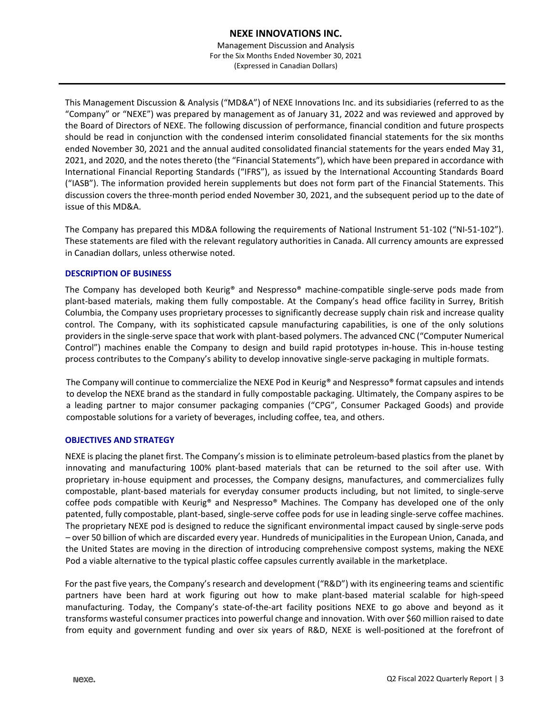Management Discussion and Analysis For the Six Months Ended November 30, 2021 (Expressed in Canadian Dollars)

This Management Discussion & Analysis ("MD&A") of NEXE Innovations Inc. and its subsidiaries (referred to as the "Company" or "NEXE") was prepared by management as of January 31, 2022 and was reviewed and approved by the Board of Directors of NEXE. The following discussion of performance, financial condition and future prospects should be read in conjunction with the condensed interim consolidated financial statements for the six months ended November 30, 2021 and the annual audited consolidated financial statements for the years ended May 31, 2021, and 2020, and the notes thereto (the "Financial Statements"), which have been prepared in accordance with International Financial Reporting Standards ("IFRS"), as issued by the International Accounting Standards Board ("IASB"). The information provided herein supplements but does not form part of the Financial Statements. This discussion covers the three-month period ended November 30, 2021, and the subsequent period up to the date of issue of this MD&A.

The Company has prepared this MD&A following the requirements of National Instrument 51-102 ("NI-51-102"). These statements are filed with the relevant regulatory authorities in Canada. All currency amounts are expressed in Canadian dollars, unless otherwise noted.

# **DESCRIPTION OF BUSINESS**

The Company has developed both Keurig® and Nespresso® machine-compatible single-serve pods made from plant-based materials, making them fully compostable. At the Company's head office facility in Surrey, British Columbia, the Company uses proprietary processes to significantly decrease supply chain risk and increase quality control. The Company, with its sophisticated capsule manufacturing capabilities, is one of the only solutions providers in the single-serve space that work with plant-based polymers. The advanced CNC ("Computer Numerical Control") machines enable the Company to design and build rapid prototypes in-house. This in-house testing process contributes to the Company's ability to develop innovative single-serve packaging in multiple formats.

The Company will continue to commercialize the NEXE Pod in Keurig® and Nespresso® format capsules and intends to develop the NEXE brand as the standard in fully compostable packaging. Ultimately, the Company aspires to be a leading partner to major consumer packaging companies ("CPG", Consumer Packaged Goods) and provide compostable solutions for a variety of beverages, including coffee, tea, and others.

# **OBJECTIVES AND STRATEGY**

NEXE is placing the planet first. The Company's mission is to eliminate petroleum-based plastics from the planet by innovating and manufacturing 100% plant-based materials that can be returned to the soil after use. With proprietary in-house equipment and processes, the Company designs, manufactures, and commercializes fully compostable, plant-based materials for everyday consumer products including, but not limited, to single-serve coffee pods compatible with Keurig® and Nespresso® Machines. The Company has developed one of the only patented, fully compostable, plant-based, single-serve coffee pods for use in leading single-serve coffee machines. The proprietary NEXE pod is designed to reduce the significant environmental impact caused by single-serve pods – over 50 billion of which are discarded every year. Hundreds of municipalities in the European Union, Canada, and the United States are moving in the direction of introducing comprehensive compost systems, making the NEXE Pod a viable alternative to the typical plastic coffee capsules currently available in the marketplace.

For the past five years, the Company's research and development ("R&D") with its engineering teams and scientific partners have been hard at work figuring out how to make plant-based material scalable for high-speed manufacturing. Today, the Company's state-of-the-art facility positions NEXE to go above and beyond as it transforms wasteful consumer practices into powerful change and innovation. With over \$60 million raised to date from equity and government funding and over six years of R&D, NEXE is well-positioned at the forefront of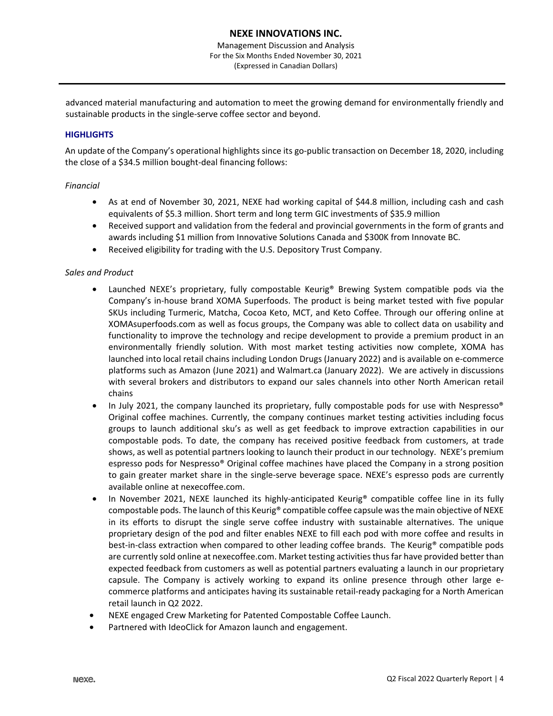advanced material manufacturing and automation to meet the growing demand for environmentally friendly and sustainable products in the single-serve coffee sector and beyond.

# **HIGHLIGHTS**

An update of the Company's operational highlights since its go-public transaction on December 18, 2020, including the close of a \$34.5 million bought-deal financing follows:

# *Financial*

- As at end of November 30, 2021, NEXE had working capital of \$44.8 million, including cash and cash equivalents of \$5.3 million. Short term and long term GIC investments of \$35.9 million
- Received support and validation from the federal and provincial governments in the form of grants and awards including \$1 million from Innovative Solutions Canada and \$300K from Innovate BC.
- Received eligibility for trading with the U.S. Depository Trust Company.

# *Sales and Product*

- Launched NEXE's proprietary, fully compostable Keurig® Brewing System compatible pods via the Company's in-house brand XOMA Superfoods. The product is being market tested with five popular SKUs including Turmeric, Matcha, Cocoa Keto, MCT, and Keto Coffee. Through our offering online at XOMAsuperfoods.com as well as focus groups, the Company was able to collect data on usability and functionality to improve the technology and recipe development to provide a premium product in an environmentally friendly solution. With most market testing activities now complete, XOMA has launched into local retail chains including London Drugs (January 2022) and is available on e-commerce platforms such as Amazon (June 2021) and Walmart.ca (January 2022). We are actively in discussions with several brokers and distributors to expand our sales channels into other North American retail chains
- In July 2021, the company launched its proprietary, fully compostable pods for use with Nespresso® Original coffee machines. Currently, the company continues market testing activities including focus groups to launch additional sku's as well as get feedback to improve extraction capabilities in our compostable pods. To date, the company has received positive feedback from customers, at trade shows, as well as potential partners looking to launch their product in our technology. NEXE's premium espresso pods for Nespresso® Original coffee machines have placed the Company in a strong position to gain greater market share in the single-serve beverage space. NEXE's espresso pods are currently available online at nexecoffee.com.
- In November 2021, NEXE launched its highly-anticipated Keurig<sup>®</sup> compatible coffee line in its fully compostable pods. The launch of this Keurig® compatible coffee capsule was the main objective of NEXE in its efforts to disrupt the single serve coffee industry with sustainable alternatives. The unique proprietary design of the pod and filter enables NEXE to fill each pod with more coffee and results in best-in-class extraction when compared to other leading coffee brands. The Keurig® compatible pods are currently sold online at nexecoffee.com. Market testing activities thus far have provided better than expected feedback from customers as well as potential partners evaluating a launch in our proprietary capsule. The Company is actively working to expand its online presence through other large ecommerce platforms and anticipates having its sustainable retail-ready packaging for a North American retail launch in Q2 2022.
- NEXE engaged Crew Marketing for Patented Compostable Coffee Launch.
- Partnered with IdeoClick for Amazon launch and engagement.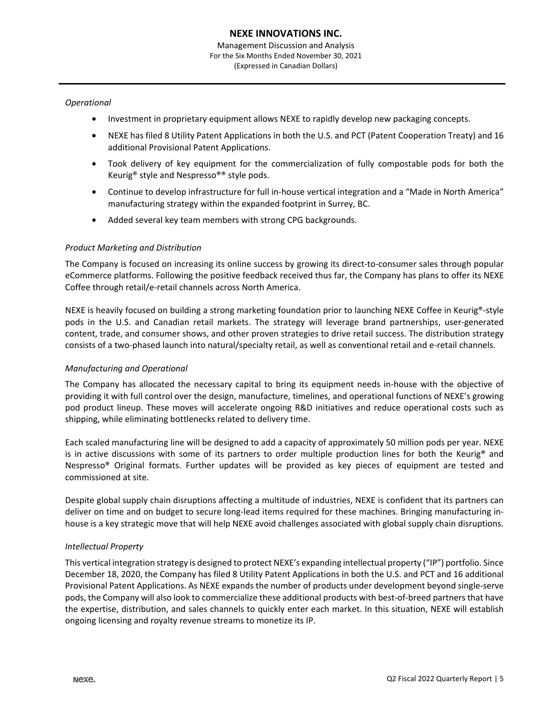# *Operational*

- Investment in proprietary equipment allows NEXE to rapidly develop new packaging concepts.
- NEXE has filed 8 Utility Patent Applications in both the U.S. and PCT (Patent Cooperation Treaty) and 16 additional Provisional Patent Applications.
- Took delivery of key equipment for the commercialization of fully compostable pods for both the Keurig® style and Nespresso®® style pods.
- Continue to develop infrastructure for full in-house vertical integration and a "Made in North America" manufacturing strategy within the expanded footprint in Surrey, BC.
- Added several key team members with strong CPG backgrounds.

### *Product Marketing and Distribution*

The Company is focused on increasing its online success by growing its direct-to-consumer sales through popular eCommerce platforms. Following the positive feedback received thus far, the Company has plans to offer its NEXE Coffee through retail/e-retail channels across North America.

NEXE is heavily focused on building a strong marketing foundation prior to launching NEXE Coffee in Keurig®-style pods in the U.S. and Canadian retail markets. The strategy will leverage brand partnerships, user-generated content, trade, and consumer shows, and other proven strategies to drive retail success. The distribution strategy consists of a two-phased launch into natural/specialty retail, as well as conventional retail and e-retail channels.

# *Manufacturing and Operational*

The Company has allocated the necessary capital to bring its equipment needs in-house with the objective of providing it with full control over the design, manufacture, timelines, and operational functions of NEXE's growing pod product lineup. These moves will accelerate ongoing R&D initiatives and reduce operational costs such as shipping, while eliminating bottlenecks related to delivery time.

Each scaled manufacturing line will be designed to add a capacity of approximately 50 million pods per year. NEXE is in active discussions with some of its partners to order multiple production lines for both the Keurig® and Nespresso® Original formats. Further updates will be provided as key pieces of equipment are tested and commissioned at site.

Despite global supply chain disruptions affecting a multitude of industries, NEXE is confident that its partners can deliver on time and on budget to secure long-lead items required for these machines. Bringing manufacturing inhouse is a key strategic move that will help NEXE avoid challenges associated with global supply chain disruptions.

#### *Intellectual Property*

This vertical integration strategy is designed to protect NEXE's expanding intellectual property ("IP") portfolio. Since December 18, 2020, the Company has filed 8 Utility Patent Applications in both the U.S. and PCT and 16 additional Provisional Patent Applications. As NEXE expands the number of products under development beyond single-serve pods, the Company will also look to commercialize these additional products with best-of-breed partners that have the expertise, distribution, and sales channels to quickly enter each market. In this situation, NEXE will establish ongoing licensing and royalty revenue streams to monetize its IP.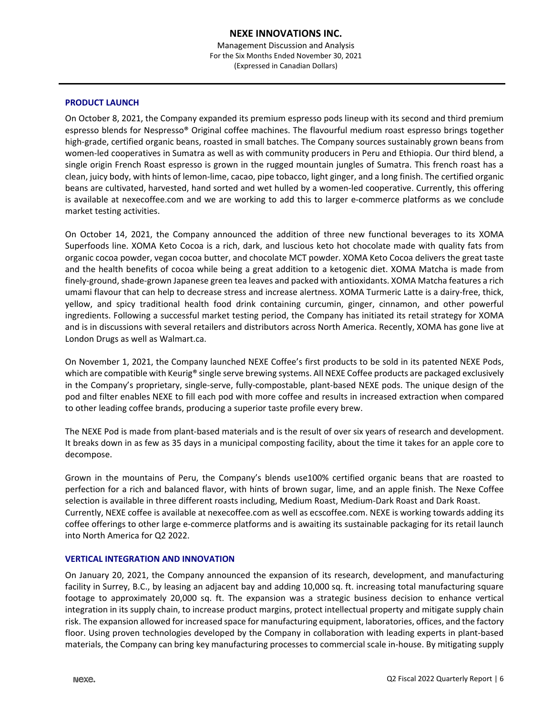### **PRODUCT LAUNCH**

On October 8, 2021, the Company expanded its premium espresso pods lineup with its second and third premium espresso blends for Nespresso® Original coffee machines. The flavourful medium roast espresso brings together high-grade, certified organic beans, roasted in small batches. The Company sources sustainably grown beans from women-led cooperatives in Sumatra as well as with community producers in Peru and Ethiopia. Our third blend, a single origin French Roast espresso is grown in the rugged mountain jungles of Sumatra. This french roast has a clean, juicy body, with hints of lemon-lime, cacao, pipe tobacco, light ginger, and a long finish. The certified organic beans are cultivated, harvested, hand sorted and wet hulled by a women-led cooperative. Currently, this offering is available at nexecoffee.com and we are working to add this to larger e-commerce platforms as we conclude market testing activities.

On October 14, 2021, the Company announced the addition of three new functional beverages to its XOMA Superfoods line. XOMA Keto Cocoa is a rich, dark, and luscious keto hot chocolate made with quality fats from organic cocoa powder, vegan cocoa butter, and chocolate MCT powder. XOMA Keto Cocoa delivers the great taste and the health benefits of cocoa while being a great addition to a ketogenic diet. XOMA Matcha is made from finely-ground, shade-grown Japanese green tea leaves and packed with antioxidants. XOMA Matcha features a rich umami flavour that can help to decrease stress and increase alertness. XOMA Turmeric Latte is a dairy-free, thick, yellow, and spicy traditional health food drink containing curcumin, ginger, cinnamon, and other powerful ingredients. Following a successful market testing period, the Company has initiated its retail strategy for XOMA and is in discussions with several retailers and distributors across North America. Recently, XOMA has gone live at London Drugs as well as Walmart.ca.

On November 1, 2021, the Company launched NEXE Coffee's first products to be sold in its patented NEXE Pods, which are compatible with Keurig® single serve brewing systems. All NEXE Coffee products are packaged exclusively in the Company's proprietary, single-serve, fully-compostable, plant-based NEXE pods. The unique design of the pod and filter enables NEXE to fill each pod with more coffee and results in increased extraction when compared to other leading coffee brands, producing a superior taste profile every brew.

The NEXE Pod is made from plant-based materials and is the result of over six years of research and development. It breaks down in as few as 35 days in a municipal composting facility, about the time it takes for an apple core to decompose.

Grown in the mountains of Peru, the Company's blends use100% certified organic beans that are roasted to perfection for a rich and balanced flavor, with hints of brown sugar, lime, and an apple finish. The Nexe Coffee selection is available in three different roasts including, Medium Roast, Medium-Dark Roast and Dark Roast. Currently, NEXE coffee is available at nexecoffee.com as well as ecscoffee.com. NEXE is working towards adding its coffee offerings to other large e-commerce platforms and is awaiting its sustainable packaging for its retail launch into North America for Q2 2022.

# **VERTICAL INTEGRATION AND INNOVATION**

On January 20, 2021, the Company announced the expansion of its research, development, and manufacturing facility in Surrey, B.C., by leasing an adjacent bay and adding 10,000 sq. ft. increasing total manufacturing square footage to approximately 20,000 sq. ft. The expansion was a strategic business decision to enhance vertical integration in its supply chain, to increase product margins, protect intellectual property and mitigate supply chain risk. The expansion allowed for increased space for manufacturing equipment, laboratories, offices, and the factory floor. Using proven technologies developed by the Company in collaboration with leading experts in plant-based materials, the Company can bring key manufacturing processes to commercial scale in-house. By mitigating supply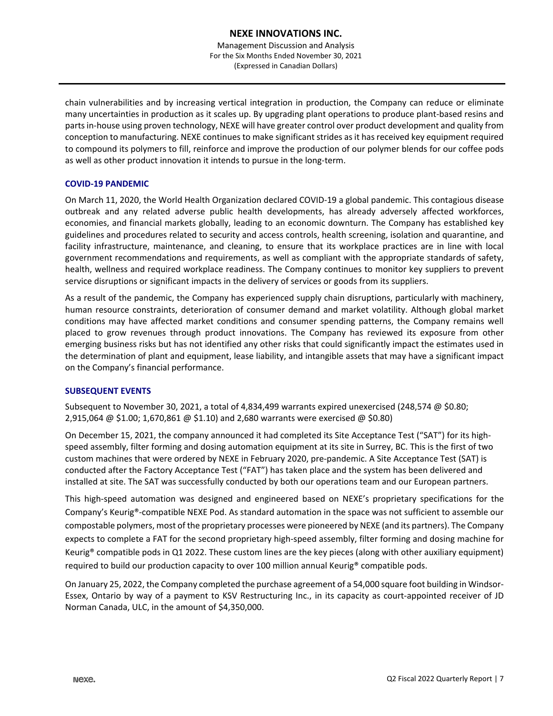Management Discussion and Analysis For the Six Months Ended November 30, 2021 (Expressed in Canadian Dollars)

chain vulnerabilities and by increasing vertical integration in production, the Company can reduce or eliminate many uncertainties in production as it scales up. By upgrading plant operations to produce plant-based resins and parts in-house using proven technology, NEXE will have greater control over product development and quality from conception to manufacturing. NEXE continues to make significant strides as it has received key equipment required to compound its polymers to fill, reinforce and improve the production of our polymer blends for our coffee pods as well as other product innovation it intends to pursue in the long-term.

# **COVID-19 PANDEMIC**

On March 11, 2020, the World Health Organization declared COVID-19 a global pandemic. This contagious disease outbreak and any related adverse public health developments, has already adversely affected workforces, economies, and financial markets globally, leading to an economic downturn. The Company has established key guidelines and procedures related to security and access controls, health screening, isolation and quarantine, and facility infrastructure, maintenance, and cleaning, to ensure that its workplace practices are in line with local government recommendations and requirements, as well as compliant with the appropriate standards of safety, health, wellness and required workplace readiness. The Company continues to monitor key suppliers to prevent service disruptions or significant impacts in the delivery of services or goods from its suppliers.

As a result of the pandemic, the Company has experienced supply chain disruptions, particularly with machinery, human resource constraints, deterioration of consumer demand and market volatility. Although global market conditions may have affected market conditions and consumer spending patterns, the Company remains well placed to grow revenues through product innovations. The Company has reviewed its exposure from other emerging business risks but has not identified any other risks that could significantly impact the estimates used in the determination of plant and equipment, lease liability, and intangible assets that may have a significant impact on the Company's financial performance.

# **SUBSEQUENT EVENTS**

Subsequent to November 30, 2021, a total of 4,834,499 warrants expired unexercised (248,574 @ \$0.80; 2,915,064 @ \$1.00; 1,670,861 @ \$1.10) and 2,680 warrants were exercised @ \$0.80)

On December 15, 2021, the company announced it had completed its Site Acceptance Test ("SAT") for its highspeed assembly, filter forming and dosing automation equipment at its site in Surrey, BC. This is the first of two custom machines that were ordered by NEXE in February 2020, pre-pandemic. A Site Acceptance Test (SAT) is conducted after the Factory Acceptance Test ("FAT") has taken place and the system has been delivered and installed at site. The SAT was successfully conducted by both our operations team and our European partners.

This high-speed automation was designed and engineered based on NEXE's proprietary specifications for the Company's Keurig®-compatible NEXE Pod. As standard automation in the space was not sufficient to assemble our compostable polymers, most of the proprietary processes were pioneered by NEXE (and its partners). The Company expects to complete a FAT for the second proprietary high-speed assembly, filter forming and dosing machine for Keurig® compatible pods in Q1 2022. These custom lines are the key pieces (along with other auxiliary equipment) required to build our production capacity to over 100 million annual Keurig® compatible pods.

On January 25, 2022, the Company completed the purchase agreement of a 54,000 square foot building in Windsor-Essex, Ontario by way of a payment to KSV Restructuring Inc., in its capacity as court-appointed receiver of JD Norman Canada, ULC, in the amount of \$4,350,000.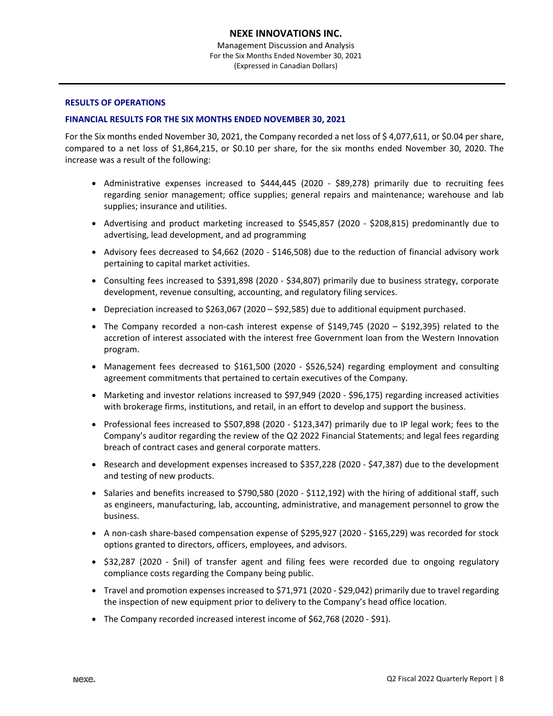### **RESULTS OF OPERATIONS**

### **FINANCIAL RESULTS FOR THE SIX MONTHS ENDED NOVEMBER 30, 2021**

For the Six months ended November 30, 2021, the Company recorded a net loss of \$ 4,077,611, or \$0.04 per share, compared to a net loss of \$1,864,215, or \$0.10 per share, for the six months ended November 30, 2020. The increase was a result of the following:

- Administrative expenses increased to \$444,445 (2020 \$89,278) primarily due to recruiting fees regarding senior management; office supplies; general repairs and maintenance; warehouse and lab supplies; insurance and utilities.
- Advertising and product marketing increased to \$545,857 (2020 \$208,815) predominantly due to advertising, lead development, and ad programming
- Advisory fees decreased to \$4,662 (2020 \$146,508) due to the reduction of financial advisory work pertaining to capital market activities.
- Consulting fees increased to \$391,898 (2020 \$34,807) primarily due to business strategy, corporate development, revenue consulting, accounting, and regulatory filing services.
- Depreciation increased to \$263,067 (2020 \$92,585) due to additional equipment purchased.
- The Company recorded a non-cash interest expense of \$149,745 (2020 \$192,395) related to the accretion of interest associated with the interest free Government loan from the Western Innovation program.
- Management fees decreased to \$161,500 (2020 \$526,524) regarding employment and consulting agreement commitments that pertained to certain executives of the Company.
- Marketing and investor relations increased to \$97,949 (2020 \$96,175) regarding increased activities with brokerage firms, institutions, and retail, in an effort to develop and support the business.
- Professional fees increased to \$507,898 (2020 \$123,347) primarily due to IP legal work; fees to the Company's auditor regarding the review of the Q2 2022 Financial Statements; and legal fees regarding breach of contract cases and general corporate matters.
- Research and development expenses increased to \$357,228 (2020 \$47,387) due to the development and testing of new products.
- Salaries and benefits increased to \$790,580 (2020 \$112,192) with the hiring of additional staff, such as engineers, manufacturing, lab, accounting, administrative, and management personnel to grow the business.
- A non-cash share-based compensation expense of \$295,927 (2020 \$165,229) was recorded for stock options granted to directors, officers, employees, and advisors.
- \$32,287 (2020 \$nil) of transfer agent and filing fees were recorded due to ongoing regulatory compliance costs regarding the Company being public.
- Travel and promotion expenses increased to \$71,971 (2020 \$29,042) primarily due to travel regarding the inspection of new equipment prior to delivery to the Company's head office location.
- The Company recorded increased interest income of \$62,768 (2020 \$91).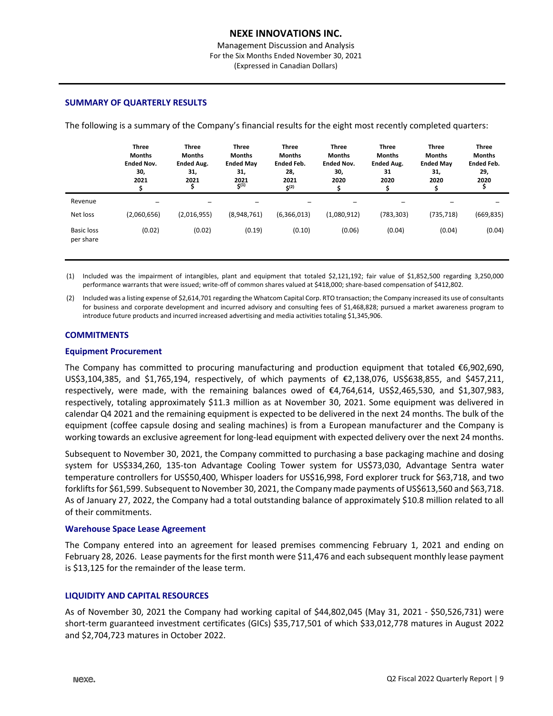Management Discussion and Analysis For the Six Months Ended November 30, 2021 (Expressed in Canadian Dollars)

#### **SUMMARY OF QUARTERLY RESULTS**

The following is a summary of the Company's financial results for the eight most recently completed quarters:

|                                | <b>Three</b><br><b>Months</b><br><b>Ended Nov.</b><br>30,<br>2021 | <b>Three</b><br><b>Months</b><br><b>Ended Aug.</b><br>31,<br>2021 | <b>Three</b><br><b>Months</b><br><b>Ended May</b><br>31,<br>2021<br>$5^{(1)}$ | <b>Three</b><br><b>Months</b><br><b>Ended Feb.</b><br>28,<br>2021<br>5(2) | <b>Three</b><br><b>Months</b><br><b>Ended Nov.</b><br>30,<br>2020 | <b>Three</b><br><b>Months</b><br><b>Ended Aug.</b><br>31<br>2020 | <b>Three</b><br><b>Months</b><br><b>Ended May</b><br>31,<br>2020 | <b>Three</b><br><b>Months</b><br><b>Ended Feb.</b><br>29,<br>2020 |
|--------------------------------|-------------------------------------------------------------------|-------------------------------------------------------------------|-------------------------------------------------------------------------------|---------------------------------------------------------------------------|-------------------------------------------------------------------|------------------------------------------------------------------|------------------------------------------------------------------|-------------------------------------------------------------------|
| Revenue                        |                                                                   |                                                                   |                                                                               |                                                                           |                                                                   |                                                                  |                                                                  |                                                                   |
| Net loss                       | (2,060,656)                                                       | (2,016,955)                                                       | (8,948,761)                                                                   | (6,366,013)                                                               | (1,080,912)                                                       | (783, 303)                                                       | (735, 718)                                                       | (669,835)                                                         |
| <b>Basic loss</b><br>per share | (0.02)                                                            | (0.02)                                                            | (0.19)                                                                        | (0.10)                                                                    | (0.06)                                                            | (0.04)                                                           | (0.04)                                                           | (0.04)                                                            |

(1) Included was the impairment of intangibles, plant and equipment that totaled \$2,121,192; fair value of \$1,852,500 regarding 3,250,000 performance warrants that were issued; write-off of common shares valued at \$418,000; share-based compensation of \$412,802.

(2) Included was a listing expense of \$2,614,701 regarding the Whatcom Capital Corp. RTO transaction; the Company increased its use of consultants for business and corporate development and incurred advisory and consulting fees of \$1,468,828; pursued a market awareness program to introduce future products and incurred increased advertising and media activities totaling \$1,345,906.

### **COMMITMENTS**

#### **Equipment Procurement**

The Company has committed to procuring manufacturing and production equipment that totaled €6,902,690, US\$3,104,385, and \$1,765,194, respectively, of which payments of €2,138,076, US\$638,855, and \$457,211, respectively, were made, with the remaining balances owed of €4,764,614, US\$2,465,530, and \$1,307,983, respectively, totaling approximately \$11.3 million as at November 30, 2021. Some equipment was delivered in calendar Q4 2021 and the remaining equipment is expected to be delivered in the next 24 months. The bulk of the equipment (coffee capsule dosing and sealing machines) is from a European manufacturer and the Company is working towards an exclusive agreement for long-lead equipment with expected delivery over the next 24 months.

Subsequent to November 30, 2021, the Company committed to purchasing a base packaging machine and dosing system for US\$334,260, 135-ton Advantage Cooling Tower system for US\$73,030, Advantage Sentra water temperature controllers for US\$50,400, Whisper loaders for US\$16,998, Ford explorer truck for \$63,718, and two forklifts for \$61,599. Subsequent to November 30, 2021, the Company made payments of US\$613,560 and \$63,718. As of January 27, 2022, the Company had a total outstanding balance of approximately \$10.8 million related to all of their commitments.

#### **Warehouse Space Lease Agreement**

The Company entered into an agreement for leased premises commencing February 1, 2021 and ending on February 28, 2026. Lease payments for the first month were \$11,476 and each subsequent monthly lease payment is \$13,125 for the remainder of the lease term.

#### **LIQUIDITY AND CAPITAL RESOURCES**

As of November 30, 2021 the Company had working capital of \$44,802,045 (May 31, 2021 - \$50,526,731) were short-term guaranteed investment certificates (GICs) \$35,717,501 of which \$33,012,778 matures in August 2022 and \$2,704,723 matures in October 2022.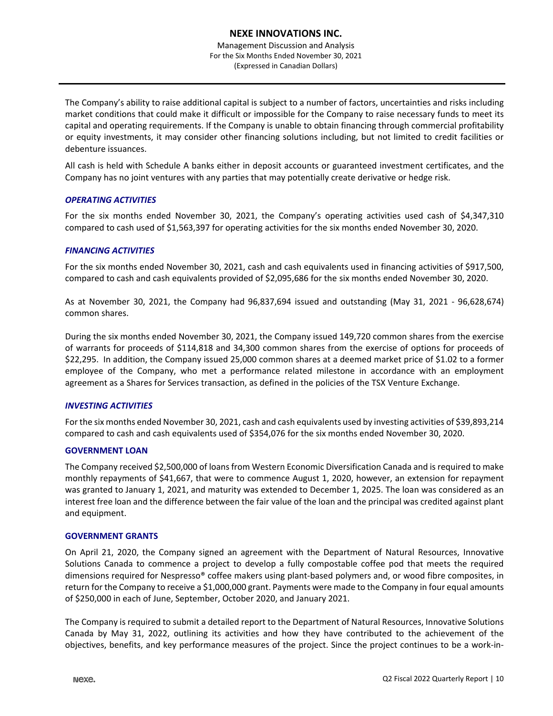Management Discussion and Analysis For the Six Months Ended November 30, 2021 (Expressed in Canadian Dollars)

The Company's ability to raise additional capital is subject to a number of factors, uncertainties and risks including market conditions that could make it difficult or impossible for the Company to raise necessary funds to meet its capital and operating requirements. If the Company is unable to obtain financing through commercial profitability or equity investments, it may consider other financing solutions including, but not limited to credit facilities or debenture issuances.

All cash is held with Schedule A banks either in deposit accounts or guaranteed investment certificates, and the Company has no joint ventures with any parties that may potentially create derivative or hedge risk.

# *OPERATING ACTIVITIES*

For the six months ended November 30, 2021, the Company's operating activities used cash of \$4,347,310 compared to cash used of \$1,563,397 for operating activities for the six months ended November 30, 2020.

### *FINANCING ACTIVITIES*

For the six months ended November 30, 2021, cash and cash equivalents used in financing activities of \$917,500, compared to cash and cash equivalents provided of \$2,095,686 for the six months ended November 30, 2020.

As at November 30, 2021, the Company had 96,837,694 issued and outstanding (May 31, 2021 - 96,628,674) common shares.

During the six months ended November 30, 2021, the Company issued 149,720 common shares from the exercise of warrants for proceeds of \$114,818 and 34,300 common shares from the exercise of options for proceeds of \$22,295. In addition, the Company issued 25,000 common shares at a deemed market price of \$1.02 to a former employee of the Company, who met a performance related milestone in accordance with an employment agreement as a Shares for Services transaction, as defined in the policies of the TSX Venture Exchange.

# *INVESTING ACTIVITIES*

For the six months ended November 30, 2021, cash and cash equivalents used by investing activities of \$39,893,214 compared to cash and cash equivalents used of \$354,076 for the six months ended November 30, 2020.

#### **GOVERNMENT LOAN**

The Company received \$2,500,000 of loans from Western Economic Diversification Canada and is required to make monthly repayments of \$41,667, that were to commence August 1, 2020, however, an extension for repayment was granted to January 1, 2021, and maturity was extended to December 1, 2025. The loan was considered as an interest free loan and the difference between the fair value of the loan and the principal was credited against plant and equipment.

#### **GOVERNMENT GRANTS**

On April 21, 2020, the Company signed an agreement with the Department of Natural Resources, Innovative Solutions Canada to commence a project to develop a fully compostable coffee pod that meets the required dimensions required for Nespresso® coffee makers using plant-based polymers and, or wood fibre composites, in return for the Company to receive a \$1,000,000 grant. Payments were made to the Company in four equal amounts of \$250,000 in each of June, September, October 2020, and January 2021.

 The Company is required to submit a detailed report to the Department of Natural Resources, Innovative Solutions Canada by May 31, 2022, outlining its activities and how they have contributed to the achievement of the objectives, benefits, and key performance measures of the project. Since the project continues to be a work-in-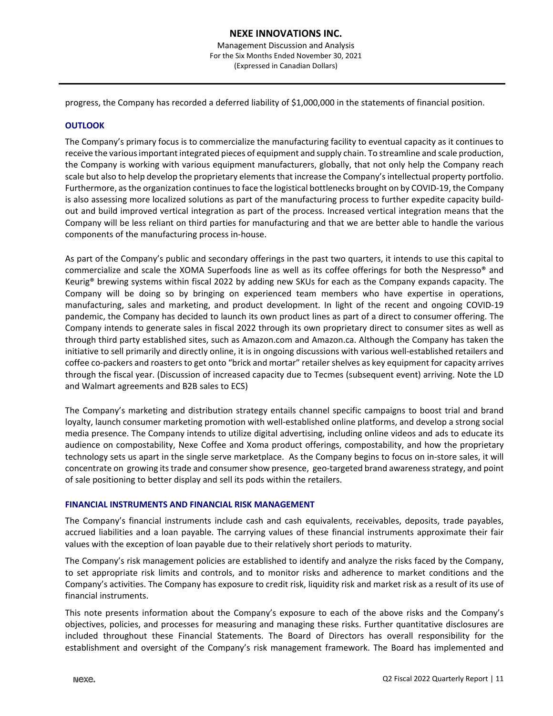progress, the Company has recorded a deferred liability of \$1,000,000 in the statements of financial position.

# **OUTLOOK**

The Company's primary focus is to commercialize the manufacturing facility to eventual capacity as it continues to receive the various important integrated pieces of equipment and supply chain. To streamline and scale production, the Company is working with various equipment manufacturers, globally, that not only help the Company reach scale but also to help develop the proprietary elements that increase the Company's intellectual property portfolio. Furthermore, as the organization continues to face the logistical bottlenecks brought on by COVID-19, the Company is also assessing more localized solutions as part of the manufacturing process to further expedite capacity buildout and build improved vertical integration as part of the process. Increased vertical integration means that the Company will be less reliant on third parties for manufacturing and that we are better able to handle the various components of the manufacturing process in-house.

As part of the Company's public and secondary offerings in the past two quarters, it intends to use this capital to commercialize and scale the XOMA Superfoods line as well as its coffee offerings for both the Nespresso® and Keurig® brewing systems within fiscal 2022 by adding new SKUs for each as the Company expands capacity. The Company will be doing so by bringing on experienced team members who have expertise in operations, manufacturing, sales and marketing, and product development. In light of the recent and ongoing COVID-19 pandemic, the Company has decided to launch its own product lines as part of a direct to consumer offering. The Company intends to generate sales in fiscal 2022 through its own proprietary direct to consumer sites as well as through third party established sites, such as Amazon.com and Amazon.ca. Although the Company has taken the initiative to sell primarily and directly online, it is in ongoing discussions with various well-established retailers and coffee co-packers and roasters to get onto "brick and mortar" retailer shelves as key equipment for capacity arrives through the fiscal year. (Discussion of increased capacity due to Tecmes (subsequent event) arriving. Note the LD and Walmart agreements and B2B sales to ECS)

The Company's marketing and distribution strategy entails channel specific campaigns to boost trial and brand loyalty, launch consumer marketing promotion with well-established online platforms, and develop a strong social media presence. The Company intends to utilize digital advertising, including online videos and ads to educate its audience on compostability, Nexe Coffee and Xoma product offerings, compostability, and how the proprietary technology sets us apart in the single serve marketplace. As the Company begins to focus on in-store sales, it will concentrate on growing its trade and consumer show presence, geo-targeted brand awareness strategy, and point of sale positioning to better display and sell its pods within the retailers.

#### **FINANCIAL INSTRUMENTS AND FINANCIAL RISK MANAGEMENT**

The Company's financial instruments include cash and cash equivalents, receivables, deposits, trade payables, accrued liabilities and a loan payable. The carrying values of these financial instruments approximate their fair values with the exception of loan payable due to their relatively short periods to maturity.

The Company's risk management policies are established to identify and analyze the risks faced by the Company, to set appropriate risk limits and controls, and to monitor risks and adherence to market conditions and the Company's activities. The Company has exposure to credit risk, liquidity risk and market risk as a result of its use of financial instruments.

This note presents information about the Company's exposure to each of the above risks and the Company's objectives, policies, and processes for measuring and managing these risks. Further quantitative disclosures are included throughout these Financial Statements. The Board of Directors has overall responsibility for the establishment and oversight of the Company's risk management framework. The Board has implemented and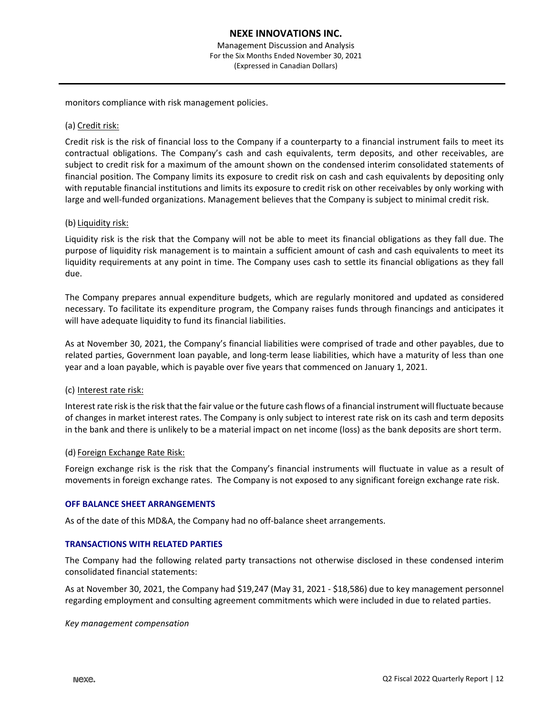monitors compliance with risk management policies.

### (a) Credit risk:

Credit risk is the risk of financial loss to the Company if a counterparty to a financial instrument fails to meet its contractual obligations. The Company's cash and cash equivalents, term deposits, and other receivables, are subject to credit risk for a maximum of the amount shown on the condensed interim consolidated statements of financial position. The Company limits its exposure to credit risk on cash and cash equivalents by depositing only with reputable financial institutions and limits its exposure to credit risk on other receivables by only working with large and well-funded organizations. Management believes that the Company is subject to minimal credit risk.

### (b) Liquidity risk:

Liquidity risk is the risk that the Company will not be able to meet its financial obligations as they fall due. The purpose of liquidity risk management is to maintain a sufficient amount of cash and cash equivalents to meet its liquidity requirements at any point in time. The Company uses cash to settle its financial obligations as they fall due.

The Company prepares annual expenditure budgets, which are regularly monitored and updated as considered necessary. To facilitate its expenditure program, the Company raises funds through financings and anticipates it will have adequate liquidity to fund its financial liabilities.

As at November 30, 2021, the Company's financial liabilities were comprised of trade and other payables, due to related parties, Government loan payable, and long-term lease liabilities, which have a maturity of less than one year and a loan payable, which is payable over five years that commenced on January 1, 2021.

#### (c) Interest rate risk:

Interest rate risk is the risk that the fair value or the future cash flows of a financial instrument will fluctuate because of changes in market interest rates. The Company is only subject to interest rate risk on its cash and term deposits in the bank and there is unlikely to be a material impact on net income (loss) as the bank deposits are short term.

#### (d) Foreign Exchange Rate Risk:

Foreign exchange risk is the risk that the Company's financial instruments will fluctuate in value as a result of movements in foreign exchange rates. The Company is not exposed to any significant foreign exchange rate risk.

#### **OFF BALANCE SHEET ARRANGEMENTS**

As of the date of this MD&A, the Company had no off-balance sheet arrangements.

#### **TRANSACTIONS WITH RELATED PARTIES**

The Company had the following related party transactions not otherwise disclosed in these condensed interim consolidated financial statements:

As at November 30, 2021, the Company had \$19,247 (May 31, 2021 - \$18,586) due to key management personnel regarding employment and consulting agreement commitments which were included in due to related parties.

### *Key management compensation*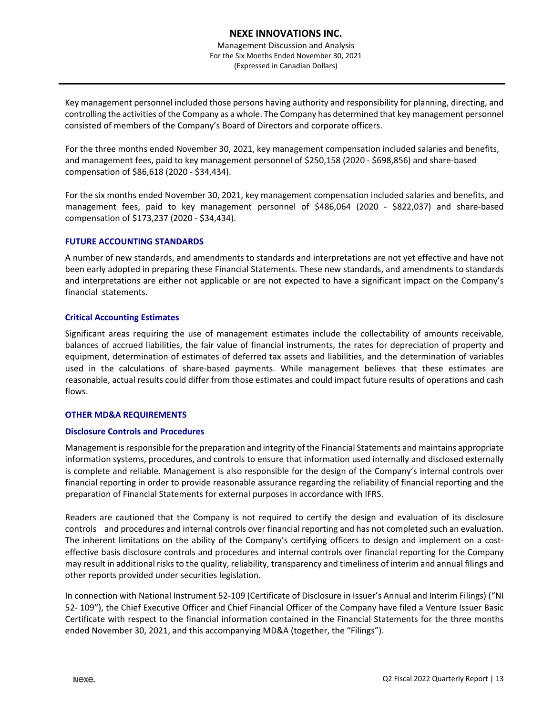Key management personnel included those persons having authority and responsibility for planning, directing, and controlling the activities of the Company as a whole. The Company has determined that key management personnel consisted of members of the Company's Board of Directors and corporate officers.

For the three months ended November 30, 2021, key management compensation included salaries and benefits, and management fees, paid to key management personnel of \$250,158 (2020 - \$698,856) and share-based compensation of \$86,618 (2020 - \$34,434).

For the six months ended November 30, 2021, key management compensation included salaries and benefits, and management fees, paid to key management personnel of \$486,064 (2020 - \$822,037) and share-based compensation of \$173,237 (2020 - \$34,434).

# **FUTURE ACCOUNTING STANDARDS**

A number of new standards, and amendments to standards and interpretations are not yet effective and have not been early adopted in preparing these Financial Statements. These new standards, and amendments to standards and interpretations are either not applicable or are not expected to have a significant impact on the Company's financial statements.

### **Critical Accounting Estimates**

Significant areas requiring the use of management estimates include the collectability of amounts receivable, balances of accrued liabilities, the fair value of financial instruments, the rates for depreciation of property and equipment, determination of estimates of deferred tax assets and liabilities, and the determination of variables used in the calculations of share-based payments. While management believes that these estimates are reasonable, actual results could differ from those estimates and could impact future results of operations and cash flows.

# **OTHER MD&A REQUIREMENTS**

#### **Disclosure Controls and Procedures**

Management is responsible for the preparation and integrity of the Financial Statements and maintains appropriate information systems, procedures, and controls to ensure that information used internally and disclosed externally is complete and reliable. Management is also responsible for the design of the Company's internal controls over financial reporting in order to provide reasonable assurance regarding the reliability of financial reporting and the preparation of Financial Statements for external purposes in accordance with IFRS.

Readers are cautioned that the Company is not required to certify the design and evaluation of its disclosure controls and procedures and internal controls over financial reporting and has not completed such an evaluation. The inherent limitations on the ability of the Company's certifying officers to design and implement on a costeffective basis disclosure controls and procedures and internal controls over financial reporting for the Company may result in additional risks to the quality, reliability, transparency and timeliness of interim and annual filings and other reports provided under securities legislation.

In connection with National Instrument 52-109 (Certificate of Disclosure in Issuer's Annual and Interim Filings) ("NI 52- 109"), the Chief Executive Officer and Chief Financial Officer of the Company have filed a Venture Issuer Basic Certificate with respect to the financial information contained in the Financial Statements for the three months ended November 30, 2021, and this accompanying MD&A (together, the "Filings").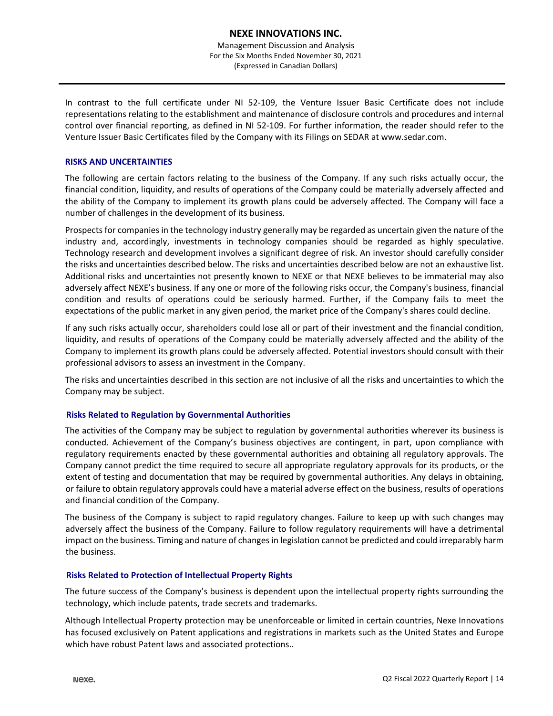Management Discussion and Analysis For the Six Months Ended November 30, 2021 (Expressed in Canadian Dollars)

In contrast to the full certificate under NI 52-109, the Venture Issuer Basic Certificate does not include representations relating to the establishment and maintenance of disclosure controls and procedures and internal control over financial reporting, as defined in NI 52-109. For further information, the reader should refer to the Venture Issuer Basic Certificates filed by the Company with its Filings on SEDAR at www.sedar.com.

### **RISKS AND UNCERTAINTIES**

The following are certain factors relating to the business of the Company. If any such risks actually occur, the financial condition, liquidity, and results of operations of the Company could be materially adversely affected and the ability of the Company to implement its growth plans could be adversely affected. The Company will face a number of challenges in the development of its business.

Prospects for companies in the technology industry generally may be regarded as uncertain given the nature of the industry and, accordingly, investments in technology companies should be regarded as highly speculative. Technology research and development involves a significant degree of risk. An investor should carefully consider the risks and uncertainties described below. The risks and uncertainties described below are not an exhaustive list. Additional risks and uncertainties not presently known to NEXE or that NEXE believes to be immaterial may also adversely affect NEXE's business. If any one or more of the following risks occur, the Company's business, financial condition and results of operations could be seriously harmed. Further, if the Company fails to meet the expectations of the public market in any given period, the market price of the Company's shares could decline.

If any such risks actually occur, shareholders could lose all or part of their investment and the financial condition, liquidity, and results of operations of the Company could be materially adversely affected and the ability of the Company to implement its growth plans could be adversely affected. Potential investors should consult with their professional advisors to assess an investment in the Company.

The risks and uncertainties described in this section are not inclusive of all the risks and uncertainties to which the Company may be subject.

# **Risks Related to Regulation by Governmental Authorities**

The activities of the Company may be subject to regulation by governmental authorities wherever its business is conducted. Achievement of the Company's business objectives are contingent, in part, upon compliance with regulatory requirements enacted by these governmental authorities and obtaining all regulatory approvals. The Company cannot predict the time required to secure all appropriate regulatory approvals for its products, or the extent of testing and documentation that may be required by governmental authorities. Any delays in obtaining, or failure to obtain regulatory approvals could have a material adverse effect on the business, results of operations and financial condition of the Company.

The business of the Company is subject to rapid regulatory changes. Failure to keep up with such changes may adversely affect the business of the Company. Failure to follow regulatory requirements will have a detrimental impact on the business. Timing and nature of changes in legislation cannot be predicted and could irreparably harm the business.

#### **Risks Related to Protection of Intellectual Property Rights**

The future success of the Company's business is dependent upon the intellectual property rights surrounding the technology, which include patents, trade secrets and trademarks.

Although Intellectual Property protection may be unenforceable or limited in certain countries, Nexe Innovations has focused exclusively on Patent applications and registrations in markets such as the United States and Europe which have robust Patent laws and associated protections..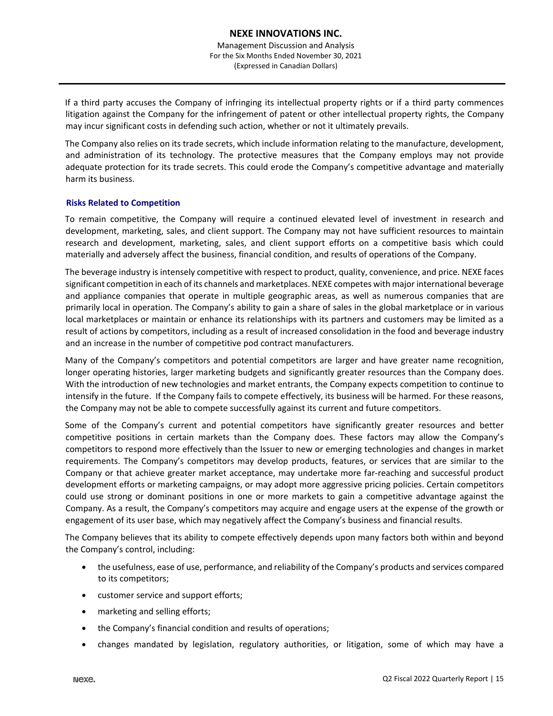If a third party accuses the Company of infringing its intellectual property rights or if a third party commences litigation against the Company for the infringement of patent or other intellectual property rights, the Company may incur significant costs in defending such action, whether or not it ultimately prevails.

The Company also relies on its trade secrets, which include information relating to the manufacture, development, and administration of its technology. The protective measures that the Company employs may not provide adequate protection for its trade secrets. This could erode the Company's competitive advantage and materially harm its business.

### **Risks Related to Competition**

To remain competitive, the Company will require a continued elevated level of investment in research and development, marketing, sales, and client support. The Company may not have sufficient resources to maintain research and development, marketing, sales, and client support efforts on a competitive basis which could materially and adversely affect the business, financial condition, and results of operations of the Company.

The beverage industry is intensely competitive with respect to product, quality, convenience, and price. NEXE faces significant competition in each of its channels and marketplaces. NEXE competes with major international beverage and appliance companies that operate in multiple geographic areas, as well as numerous companies that are primarily local in operation. The Company's ability to gain a share of sales in the global marketplace or in various local marketplaces or maintain or enhance its relationships with its partners and customers may be limited as a result of actions by competitors, including as a result of increased consolidation in the food and beverage industry and an increase in the number of competitive pod contract manufacturers.

Many of the Company's competitors and potential competitors are larger and have greater name recognition, longer operating histories, larger marketing budgets and significantly greater resources than the Company does. With the introduction of new technologies and market entrants, the Company expects competition to continue to intensify in the future. If the Company fails to compete effectively, its business will be harmed. For these reasons, the Company may not be able to compete successfully against its current and future competitors.

Some of the Company's current and potential competitors have significantly greater resources and better competitive positions in certain markets than the Company does. These factors may allow the Company's competitors to respond more effectively than the Issuer to new or emerging technologies and changes in market requirements. The Company's competitors may develop products, features, or services that are similar to the Company or that achieve greater market acceptance, may undertake more far-reaching and successful product development efforts or marketing campaigns, or may adopt more aggressive pricing policies. Certain competitors could use strong or dominant positions in one or more markets to gain a competitive advantage against the Company. As a result, the Company's competitors may acquire and engage users at the expense of the growth or engagement of its user base, which may negatively affect the Company's business and financial results.

The Company believes that its ability to compete effectively depends upon many factors both within and beyond the Company's control, including:

- the usefulness, ease of use, performance, and reliability of the Company's products and services compared to its competitors;
- customer service and support efforts;
- marketing and selling efforts;
- the Company's financial condition and results of operations;
- changes mandated by legislation, regulatory authorities, or litigation, some of which may have a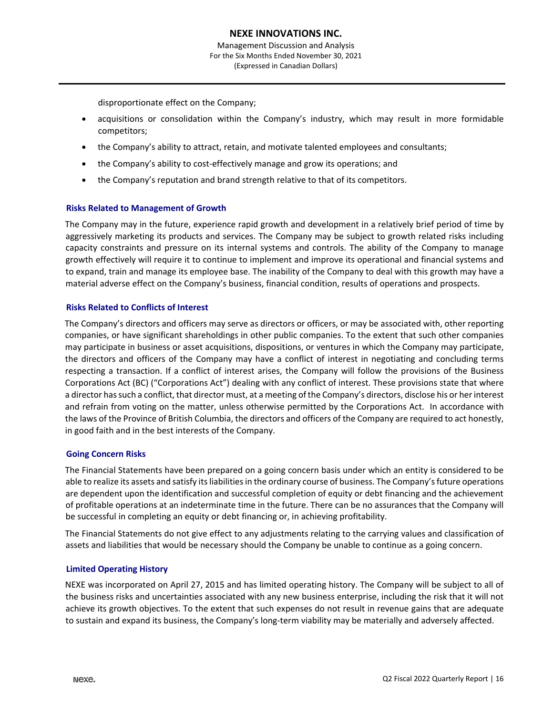disproportionate effect on the Company;

- acquisitions or consolidation within the Company's industry, which may result in more formidable competitors;
- the Company's ability to attract, retain, and motivate talented employees and consultants;
- the Company's ability to cost-effectively manage and grow its operations; and
- the Company's reputation and brand strength relative to that of its competitors.

#### **Risks Related to Management of Growth**

The Company may in the future, experience rapid growth and development in a relatively brief period of time by aggressively marketing its products and services. The Company may be subject to growth related risks including capacity constraints and pressure on its internal systems and controls. The ability of the Company to manage growth effectively will require it to continue to implement and improve its operational and financial systems and to expand, train and manage its employee base. The inability of the Company to deal with this growth may have a material adverse effect on the Company's business, financial condition, results of operations and prospects.

#### **Risks Related to Conflicts of Interest**

The Company's directors and officers may serve as directors or officers, or may be associated with, other reporting companies, or have significant shareholdings in other public companies. To the extent that such other companies may participate in business or asset acquisitions, dispositions, or ventures in which the Company may participate, the directors and officers of the Company may have a conflict of interest in negotiating and concluding terms respecting a transaction. If a conflict of interest arises, the Company will follow the provisions of the Business Corporations Act (BC) ("Corporations Act") dealing with any conflict of interest. These provisions state that where a director has such a conflict, that director must, at a meeting of the Company's directors, disclose his or her interest and refrain from voting on the matter, unless otherwise permitted by the Corporations Act. In accordance with the laws of the Province of British Columbia, the directors and officers of the Company are required to act honestly, in good faith and in the best interests of the Company.

#### **Going Concern Risks**

The Financial Statements have been prepared on a going concern basis under which an entity is considered to be able to realize its assets and satisfy its liabilities in the ordinary course of business. The Company's future operations are dependent upon the identification and successful completion of equity or debt financing and the achievement of profitable operations at an indeterminate time in the future. There can be no assurances that the Company will be successful in completing an equity or debt financing or, in achieving profitability.

The Financial Statements do not give effect to any adjustments relating to the carrying values and classification of assets and liabilities that would be necessary should the Company be unable to continue as a going concern.

#### **Limited Operating History**

NEXE was incorporated on April 27, 2015 and has limited operating history. The Company will be subject to all of the business risks and uncertainties associated with any new business enterprise, including the risk that it will not achieve its growth objectives. To the extent that such expenses do not result in revenue gains that are adequate to sustain and expand its business, the Company's long-term viability may be materially and adversely affected.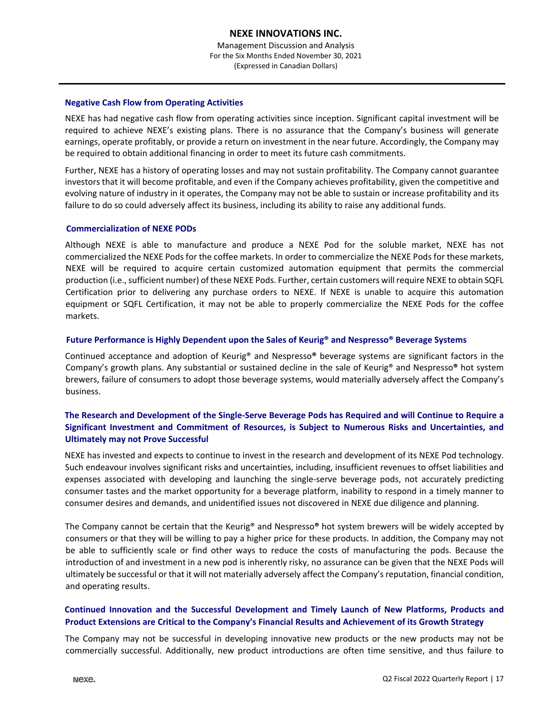Management Discussion and Analysis For the Six Months Ended November 30, 2021 (Expressed in Canadian Dollars)

### **Negative Cash Flow from Operating Activities**

NEXE has had negative cash flow from operating activities since inception. Significant capital investment will be required to achieve NEXE's existing plans. There is no assurance that the Company's business will generate earnings, operate profitably, or provide a return on investment in the near future. Accordingly, the Company may be required to obtain additional financing in order to meet its future cash commitments.

Further, NEXE has a history of operating losses and may not sustain profitability. The Company cannot guarantee investors that it will become profitable, and even if the Company achieves profitability, given the competitive and evolving nature of industry in it operates, the Company may not be able to sustain or increase profitability and its failure to do so could adversely affect its business, including its ability to raise any additional funds.

### **Commercialization of NEXE PODs**

Although NEXE is able to manufacture and produce a NEXE Pod for the soluble market, NEXE has not commercialized the NEXE Pods for the coffee markets. In order to commercialize the NEXE Pods for these markets, NEXE will be required to acquire certain customized automation equipment that permits the commercial production (i.e., sufficient number) of these NEXE Pods. Further, certain customers will require NEXE to obtain SQFL Certification prior to delivering any purchase orders to NEXE. If NEXE is unable to acquire this automation equipment or SQFL Certification, it may not be able to properly commercialize the NEXE Pods for the coffee markets.

# **Future Performance is Highly Dependent upon the Sales of Keurig® and Nespresso® Beverage Systems**

Continued acceptance and adoption of Keurig® and Nespresso**®** beverage systems are significant factors in the Company's growth plans. Any substantial or sustained decline in the sale of Keurig® and Nespresso**®** hot system brewers, failure of consumers to adopt those beverage systems, would materially adversely affect the Company's business.

# **The Research and Development of the Single-Serve Beverage Pods has Required and will Continue to Require a Significant Investment and Commitment of Resources, is Subject to Numerous Risks and Uncertainties, and Ultimately may not Prove Successful**

NEXE has invested and expects to continue to invest in the research and development of its NEXE Pod technology. Such endeavour involves significant risks and uncertainties, including, insufficient revenues to offset liabilities and expenses associated with developing and launching the single-serve beverage pods, not accurately predicting consumer tastes and the market opportunity for a beverage platform, inability to respond in a timely manner to consumer desires and demands, and unidentified issues not discovered in NEXE due diligence and planning.

The Company cannot be certain that the Keurig® and Nespresso**®** hot system brewers will be widely accepted by consumers or that they will be willing to pay a higher price for these products. In addition, the Company may not be able to sufficiently scale or find other ways to reduce the costs of manufacturing the pods. Because the introduction of and investment in a new pod is inherently risky, no assurance can be given that the NEXE Pods will ultimately be successful or that it will not materially adversely affect the Company's reputation, financial condition, and operating results.

# **Continued Innovation and the Successful Development and Timely Launch of New Platforms, Products and Product Extensions are Critical to the Company's Financial Results and Achievement of its Growth Strategy**

The Company may not be successful in developing innovative new products or the new products may not be commercially successful. Additionally, new product introductions are often time sensitive, and thus failure to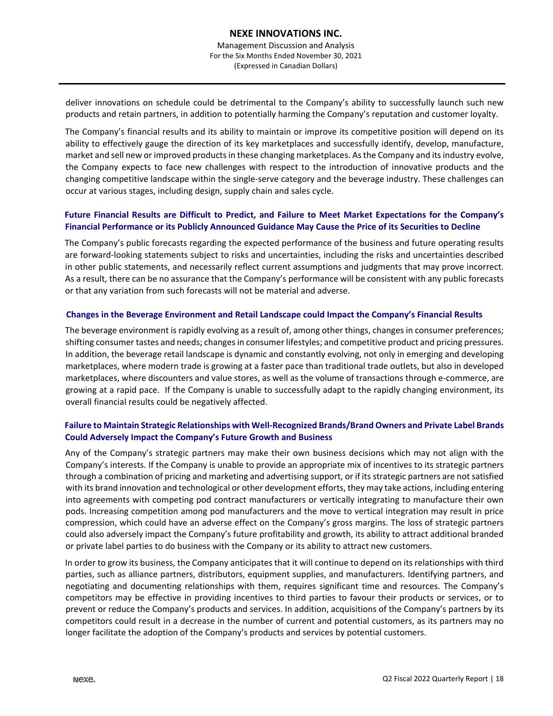deliver innovations on schedule could be detrimental to the Company's ability to successfully launch such new products and retain partners, in addition to potentially harming the Company's reputation and customer loyalty.

The Company's financial results and its ability to maintain or improve its competitive position will depend on its ability to effectively gauge the direction of its key marketplaces and successfully identify, develop, manufacture, market and sell new or improved products in these changing marketplaces. As the Company and its industry evolve, the Company expects to face new challenges with respect to the introduction of innovative products and the changing competitive landscape within the single-serve category and the beverage industry. These challenges can occur at various stages, including design, supply chain and sales cycle.

# **Future Financial Results are Difficult to Predict, and Failure to Meet Market Expectations for the Company's Financial Performance or its Publicly Announced Guidance May Cause the Price of its Securities to Decline**

The Company's public forecasts regarding the expected performance of the business and future operating results are forward-looking statements subject to risks and uncertainties, including the risks and uncertainties described in other public statements, and necessarily reflect current assumptions and judgments that may prove incorrect. As a result, there can be no assurance that the Company's performance will be consistent with any public forecasts or that any variation from such forecasts will not be material and adverse.

# **Changes in the Beverage Environment and Retail Landscape could Impact the Company's Financial Results**

The beverage environment is rapidly evolving as a result of, among other things, changes in consumer preferences; shifting consumer tastes and needs; changes in consumer lifestyles; and competitive product and pricing pressures. In addition, the beverage retail landscape is dynamic and constantly evolving, not only in emerging and developing marketplaces, where modern trade is growing at a faster pace than traditional trade outlets, but also in developed marketplaces, where discounters and value stores, as well as the volume of transactions through e-commerce, are growing at a rapid pace. If the Company is unable to successfully adapt to the rapidly changing environment, its overall financial results could be negatively affected.

# **Failure to Maintain Strategic Relationships with Well-Recognized Brands/Brand Owners and Private Label Brands Could Adversely Impact the Company's Future Growth and Business**

Any of the Company's strategic partners may make their own business decisions which may not align with the Company's interests. If the Company is unable to provide an appropriate mix of incentives to its strategic partners through a combination of pricing and marketing and advertising support, or if its strategic partners are not satisfied with its brand innovation and technological or other development efforts, they may take actions, including entering into agreements with competing pod contract manufacturers or vertically integrating to manufacture their own pods. Increasing competition among pod manufacturers and the move to vertical integration may result in price compression, which could have an adverse effect on the Company's gross margins. The loss of strategic partners could also adversely impact the Company's future profitability and growth, its ability to attract additional branded or private label parties to do business with the Company or its ability to attract new customers.

In order to grow its business, the Company anticipates that it will continue to depend on its relationships with third parties, such as alliance partners, distributors, equipment supplies, and manufacturers. Identifying partners, and negotiating and documenting relationships with them, requires significant time and resources. The Company's competitors may be effective in providing incentives to third parties to favour their products or services, or to prevent or reduce the Company's products and services. In addition, acquisitions of the Company's partners by its competitors could result in a decrease in the number of current and potential customers, as its partners may no longer facilitate the adoption of the Company's products and services by potential customers.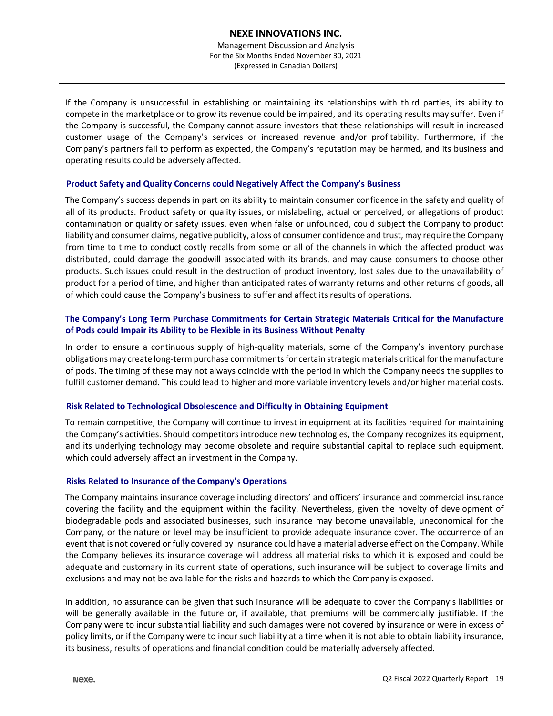Management Discussion and Analysis For the Six Months Ended November 30, 2021 (Expressed in Canadian Dollars)

If the Company is unsuccessful in establishing or maintaining its relationships with third parties, its ability to compete in the marketplace or to grow its revenue could be impaired, and its operating results may suffer. Even if the Company is successful, the Company cannot assure investors that these relationships will result in increased customer usage of the Company's services or increased revenue and/or profitability. Furthermore, if the Company's partners fail to perform as expected, the Company's reputation may be harmed, and its business and operating results could be adversely affected.

# **Product Safety and Quality Concerns could Negatively Affect the Company's Business**

The Company's success depends in part on its ability to maintain consumer confidence in the safety and quality of all of its products. Product safety or quality issues, or mislabeling, actual or perceived, or allegations of product contamination or quality or safety issues, even when false or unfounded, could subject the Company to product liability and consumer claims, negative publicity, a loss of consumer confidence and trust, may require the Company from time to time to conduct costly recalls from some or all of the channels in which the affected product was distributed, could damage the goodwill associated with its brands, and may cause consumers to choose other products. Such issues could result in the destruction of product inventory, lost sales due to the unavailability of product for a period of time, and higher than anticipated rates of warranty returns and other returns of goods, all of which could cause the Company's business to suffer and affect its results of operations.

# **The Company's Long Term Purchase Commitments for Certain Strategic Materials Critical for the Manufacture of Pods could Impair its Ability to be Flexible in its Business Without Penalty**

In order to ensure a continuous supply of high-quality materials, some of the Company's inventory purchase obligations may create long-term purchase commitments for certain strategic materials critical for the manufacture of pods. The timing of these may not always coincide with the period in which the Company needs the supplies to fulfill customer demand. This could lead to higher and more variable inventory levels and/or higher material costs.

# **Risk Related to Technological Obsolescence and Difficulty in Obtaining Equipment**

To remain competitive, the Company will continue to invest in equipment at its facilities required for maintaining the Company's activities. Should competitors introduce new technologies, the Company recognizes its equipment, and its underlying technology may become obsolete and require substantial capital to replace such equipment, which could adversely affect an investment in the Company.

# **Risks Related to Insurance of the Company's Operations**

The Company maintains insurance coverage including directors' and officers' insurance and commercial insurance covering the facility and the equipment within the facility. Nevertheless, given the novelty of development of biodegradable pods and associated businesses, such insurance may become unavailable, uneconomical for the Company, or the nature or level may be insufficient to provide adequate insurance cover. The occurrence of an event that is not covered or fully covered by insurance could have a material adverse effect on the Company. While the Company believes its insurance coverage will address all material risks to which it is exposed and could be adequate and customary in its current state of operations, such insurance will be subject to coverage limits and exclusions and may not be available for the risks and hazards to which the Company is exposed.

In addition, no assurance can be given that such insurance will be adequate to cover the Company's liabilities or will be generally available in the future or, if available, that premiums will be commercially justifiable. If the Company were to incur substantial liability and such damages were not covered by insurance or were in excess of policy limits, or if the Company were to incur such liability at a time when it is not able to obtain liability insurance, its business, results of operations and financial condition could be materially adversely affected.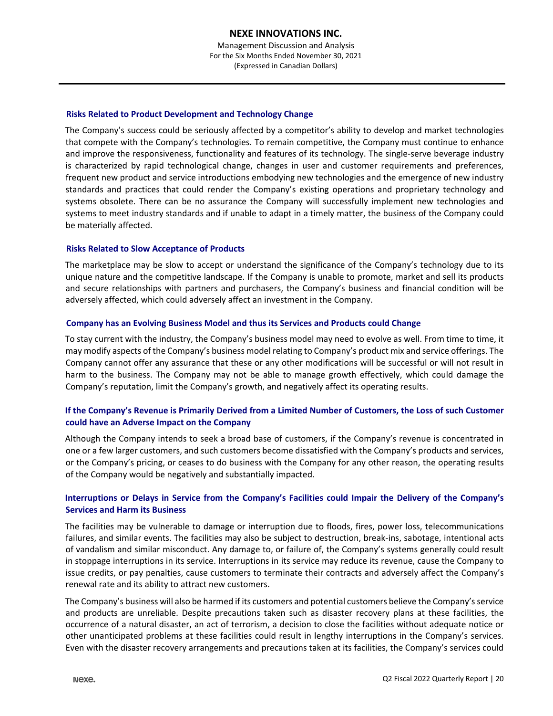# **Risks Related to Product Development and Technology Change**

The Company's success could be seriously affected by a competitor's ability to develop and market technologies that compete with the Company's technologies. To remain competitive, the Company must continue to enhance and improve the responsiveness, functionality and features of its technology. The single-serve beverage industry is characterized by rapid technological change, changes in user and customer requirements and preferences, frequent new product and service introductions embodying new technologies and the emergence of new industry standards and practices that could render the Company's existing operations and proprietary technology and systems obsolete. There can be no assurance the Company will successfully implement new technologies and systems to meet industry standards and if unable to adapt in a timely matter, the business of the Company could be materially affected.

# **Risks Related to Slow Acceptance of Products**

The marketplace may be slow to accept or understand the significance of the Company's technology due to its unique nature and the competitive landscape. If the Company is unable to promote, market and sell its products and secure relationships with partners and purchasers, the Company's business and financial condition will be adversely affected, which could adversely affect an investment in the Company.

# **Company has an Evolving Business Model and thus its Services and Products could Change**

To stay current with the industry, the Company's business model may need to evolve as well. From time to time, it may modify aspects of the Company's business model relating to Company's product mix and service offerings. The Company cannot offer any assurance that these or any other modifications will be successful or will not result in harm to the business. The Company may not be able to manage growth effectively, which could damage the Company's reputation, limit the Company's growth, and negatively affect its operating results.

# **If the Company's Revenue is Primarily Derived from a Limited Number of Customers, the Loss of such Customer could have an Adverse Impact on the Company**

Although the Company intends to seek a broad base of customers, if the Company's revenue is concentrated in one or a few larger customers, and such customers become dissatisfied with the Company's products and services, or the Company's pricing, or ceases to do business with the Company for any other reason, the operating results of the Company would be negatively and substantially impacted.

# **Interruptions or Delays in Service from the Company's Facilities could Impair the Delivery of the Company's Services and Harm its Business**

The facilities may be vulnerable to damage or interruption due to floods, fires, power loss, telecommunications failures, and similar events. The facilities may also be subject to destruction, break-ins, sabotage, intentional acts of vandalism and similar misconduct. Any damage to, or failure of, the Company's systems generally could result in stoppage interruptions in its service. Interruptions in its service may reduce its revenue, cause the Company to issue credits, or pay penalties, cause customers to terminate their contracts and adversely affect the Company's renewal rate and its ability to attract new customers.

The Company's business will also be harmed if its customers and potential customers believe the Company's service and products are unreliable. Despite precautions taken such as disaster recovery plans at these facilities, the occurrence of a natural disaster, an act of terrorism, a decision to close the facilities without adequate notice or other unanticipated problems at these facilities could result in lengthy interruptions in the Company's services. Even with the disaster recovery arrangements and precautions taken at its facilities, the Company's services could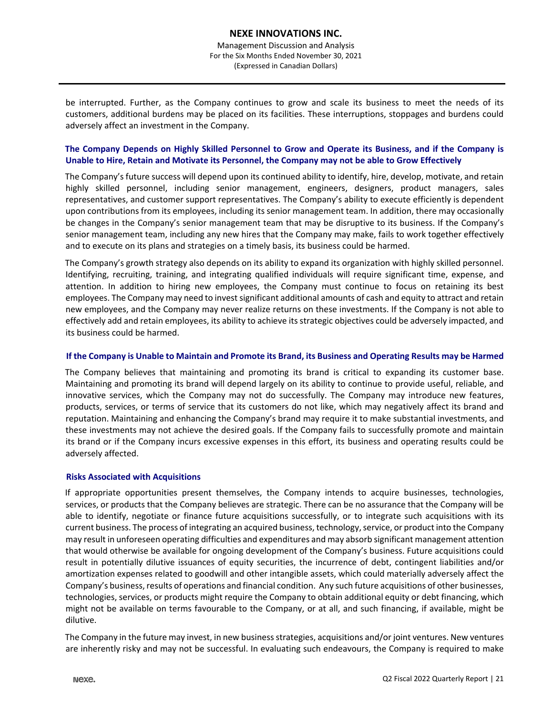be interrupted. Further, as the Company continues to grow and scale its business to meet the needs of its customers, additional burdens may be placed on its facilities. These interruptions, stoppages and burdens could adversely affect an investment in the Company.

# **The Company Depends on Highly Skilled Personnel to Grow and Operate its Business, and if the Company is Unable to Hire, Retain and Motivate its Personnel, the Company may not be able to Grow Effectively**

The Company's future success will depend upon its continued ability to identify, hire, develop, motivate, and retain highly skilled personnel, including senior management, engineers, designers, product managers, sales representatives, and customer support representatives. The Company's ability to execute efficiently is dependent upon contributions from its employees, including its senior management team. In addition, there may occasionally be changes in the Company's senior management team that may be disruptive to its business. If the Company's senior management team, including any new hires that the Company may make, fails to work together effectively and to execute on its plans and strategies on a timely basis, its business could be harmed.

The Company's growth strategy also depends on its ability to expand its organization with highly skilled personnel. Identifying, recruiting, training, and integrating qualified individuals will require significant time, expense, and attention. In addition to hiring new employees, the Company must continue to focus on retaining its best employees. The Company may need to invest significant additional amounts of cash and equity to attract and retain new employees, and the Company may never realize returns on these investments. If the Company is not able to effectively add and retain employees, its ability to achieve its strategic objectives could be adversely impacted, and its business could be harmed.

### **If the Company is Unable to Maintain and Promote its Brand, its Business and Operating Results may be Harmed**

The Company believes that maintaining and promoting its brand is critical to expanding its customer base. Maintaining and promoting its brand will depend largely on its ability to continue to provide useful, reliable, and innovative services, which the Company may not do successfully. The Company may introduce new features, products, services, or terms of service that its customers do not like, which may negatively affect its brand and reputation. Maintaining and enhancing the Company's brand may require it to make substantial investments, and these investments may not achieve the desired goals. If the Company fails to successfully promote and maintain its brand or if the Company incurs excessive expenses in this effort, its business and operating results could be adversely affected.

# **Risks Associated with Acquisitions**

If appropriate opportunities present themselves, the Company intends to acquire businesses, technologies, services, or products that the Company believes are strategic. There can be no assurance that the Company will be able to identify, negotiate or finance future acquisitions successfully, or to integrate such acquisitions with its current business. The process of integrating an acquired business, technology, service, or product into the Company may result in unforeseen operating difficulties and expenditures and may absorb significant management attention that would otherwise be available for ongoing development of the Company's business. Future acquisitions could result in potentially dilutive issuances of equity securities, the incurrence of debt, contingent liabilities and/or amortization expenses related to goodwill and other intangible assets, which could materially adversely affect the Company's business, results of operations and financial condition. Any such future acquisitions of other businesses, technologies, services, or products might require the Company to obtain additional equity or debt financing, which might not be available on terms favourable to the Company, or at all, and such financing, if available, might be dilutive.

The Company in the future may invest, in new business strategies, acquisitions and/or joint ventures. New ventures are inherently risky and may not be successful. In evaluating such endeavours, the Company is required to make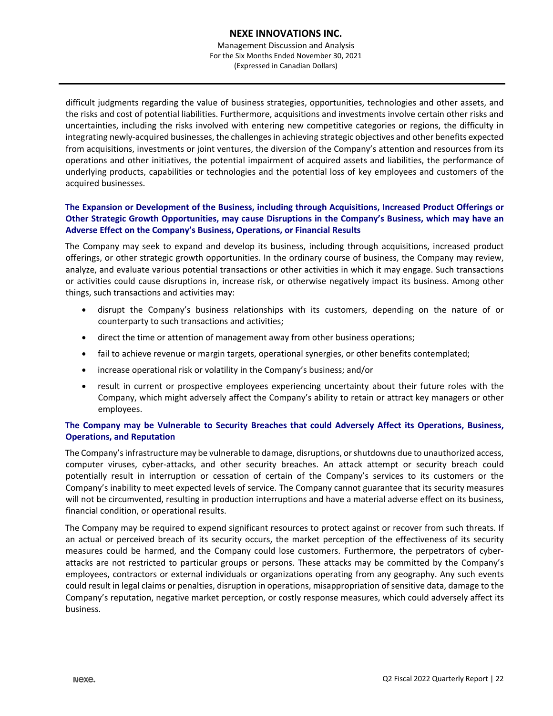Management Discussion and Analysis For the Six Months Ended November 30, 2021 (Expressed in Canadian Dollars)

difficult judgments regarding the value of business strategies, opportunities, technologies and other assets, and the risks and cost of potential liabilities. Furthermore, acquisitions and investments involve certain other risks and uncertainties, including the risks involved with entering new competitive categories or regions, the difficulty in integrating newly-acquired businesses, the challenges in achieving strategic objectives and other benefits expected from acquisitions, investments or joint ventures, the diversion of the Company's attention and resources from its operations and other initiatives, the potential impairment of acquired assets and liabilities, the performance of underlying products, capabilities or technologies and the potential loss of key employees and customers of the acquired businesses.

# **The Expansion or Development of the Business, including through Acquisitions, Increased Product Offerings or Other Strategic Growth Opportunities, may cause Disruptions in the Company's Business, which may have an Adverse Effect on the Company's Business, Operations, or Financial Results**

The Company may seek to expand and develop its business, including through acquisitions, increased product offerings, or other strategic growth opportunities. In the ordinary course of business, the Company may review, analyze, and evaluate various potential transactions or other activities in which it may engage. Such transactions or activities could cause disruptions in, increase risk, or otherwise negatively impact its business. Among other things, such transactions and activities may:

- disrupt the Company's business relationships with its customers, depending on the nature of or counterparty to such transactions and activities;
- direct the time or attention of management away from other business operations;
- fail to achieve revenue or margin targets, operational synergies, or other benefits contemplated;
- increase operational risk or volatility in the Company's business; and/or
- result in current or prospective employees experiencing uncertainty about their future roles with the Company, which might adversely affect the Company's ability to retain or attract key managers or other employees.

# **The Company may be Vulnerable to Security Breaches that could Adversely Affect its Operations, Business, Operations, and Reputation**

The Company's infrastructure may be vulnerable to damage, disruptions, or shutdowns due to unauthorized access, computer viruses, cyber-attacks, and other security breaches. An attack attempt or security breach could potentially result in interruption or cessation of certain of the Company's services to its customers or the Company's inability to meet expected levels of service. The Company cannot guarantee that its security measures will not be circumvented, resulting in production interruptions and have a material adverse effect on its business, financial condition, or operational results.

The Company may be required to expend significant resources to protect against or recover from such threats. If an actual or perceived breach of its security occurs, the market perception of the effectiveness of its security measures could be harmed, and the Company could lose customers. Furthermore, the perpetrators of cyberattacks are not restricted to particular groups or persons. These attacks may be committed by the Company's employees, contractors or external individuals or organizations operating from any geography. Any such events could result in legal claims or penalties, disruption in operations, misappropriation of sensitive data, damage to the Company's reputation, negative market perception, or costly response measures, which could adversely affect its business.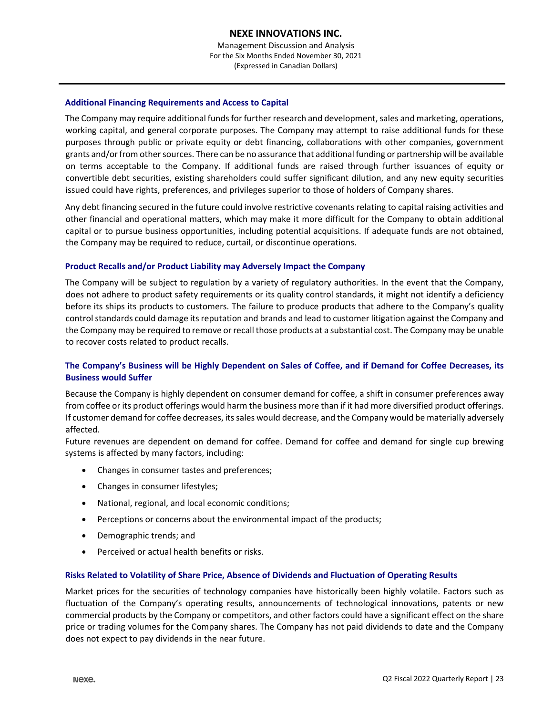# **Additional Financing Requirements and Access to Capital**

The Company may require additional funds for further research and development, sales and marketing, operations, working capital, and general corporate purposes. The Company may attempt to raise additional funds for these purposes through public or private equity or debt financing, collaborations with other companies, government grants and/or from other sources. There can be no assurance that additional funding or partnership will be available on terms acceptable to the Company. If additional funds are raised through further issuances of equity or convertible debt securities, existing shareholders could suffer significant dilution, and any new equity securities issued could have rights, preferences, and privileges superior to those of holders of Company shares.

Any debt financing secured in the future could involve restrictive covenants relating to capital raising activities and other financial and operational matters, which may make it more difficult for the Company to obtain additional capital or to pursue business opportunities, including potential acquisitions. If adequate funds are not obtained, the Company may be required to reduce, curtail, or discontinue operations.

# **Product Recalls and/or Product Liability may Adversely Impact the Company**

The Company will be subject to regulation by a variety of regulatory authorities. In the event that the Company, does not adhere to product safety requirements or its quality control standards, it might not identify a deficiency before its ships its products to customers. The failure to produce products that adhere to the Company's quality control standards could damage its reputation and brands and lead to customer litigation against the Company and the Company may be required to remove or recall those products at a substantial cost. The Company may be unable to recover costs related to product recalls.

# **The Company's Business will be Highly Dependent on Sales of Coffee, and if Demand for Coffee Decreases, its Business would Suffer**

Because the Company is highly dependent on consumer demand for coffee, a shift in consumer preferences away from coffee or its product offerings would harm the business more than if it had more diversified product offerings. If customer demand for coffee decreases, its sales would decrease, and the Company would be materially adversely affected.

Future revenues are dependent on demand for coffee. Demand for coffee and demand for single cup brewing systems is affected by many factors, including:

- Changes in consumer tastes and preferences;
- Changes in consumer lifestyles;
- National, regional, and local economic conditions;
- Perceptions or concerns about the environmental impact of the products;
- Demographic trends; and
- Perceived or actual health benefits or risks.

# **Risks Related to Volatility of Share Price, Absence of Dividends and Fluctuation of Operating Results**

Market prices for the securities of technology companies have historically been highly volatile. Factors such as fluctuation of the Company's operating results, announcements of technological innovations, patents or new commercial products by the Company or competitors, and other factors could have a significant effect on the share price or trading volumes for the Company shares. The Company has not paid dividends to date and the Company does not expect to pay dividends in the near future.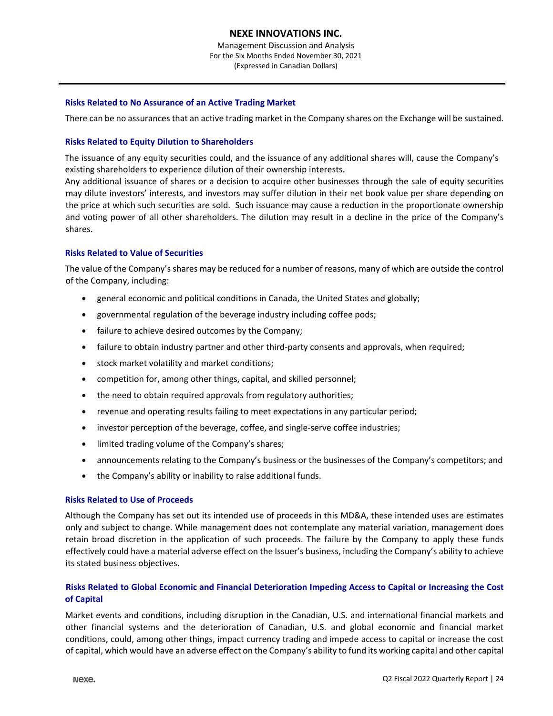Management Discussion and Analysis For the Six Months Ended November 30, 2021 (Expressed in Canadian Dollars)

# **Risks Related to No Assurance of an Active Trading Market**

There can be no assurances that an active trading market in the Company shares on the Exchange will be sustained.

# **Risks Related to Equity Dilution to Shareholders**

The issuance of any equity securities could, and the issuance of any additional shares will, cause the Company's existing shareholders to experience dilution of their ownership interests.

Any additional issuance of shares or a decision to acquire other businesses through the sale of equity securities may dilute investors' interests, and investors may suffer dilution in their net book value per share depending on the price at which such securities are sold. Such issuance may cause a reduction in the proportionate ownership and voting power of all other shareholders. The dilution may result in a decline in the price of the Company's shares.

# **Risks Related to Value of Securities**

The value of the Company's shares may be reduced for a number of reasons, many of which are outside the control of the Company, including:

- general economic and political conditions in Canada, the United States and globally;
- governmental regulation of the beverage industry including coffee pods;
- failure to achieve desired outcomes by the Company;
- failure to obtain industry partner and other third-party consents and approvals, when required;
- stock market volatility and market conditions;
- competition for, among other things, capital, and skilled personnel;
- the need to obtain required approvals from regulatory authorities;
- revenue and operating results failing to meet expectations in any particular period;
- investor perception of the beverage, coffee, and single-serve coffee industries;
- limited trading volume of the Company's shares;
- announcements relating to the Company's business or the businesses of the Company's competitors; and
- the Company's ability or inability to raise additional funds.

# **Risks Related to Use of Proceeds**

Although the Company has set out its intended use of proceeds in this MD&A, these intended uses are estimates only and subject to change. While management does not contemplate any material variation, management does retain broad discretion in the application of such proceeds. The failure by the Company to apply these funds effectively could have a material adverse effect on the Issuer's business, including the Company's ability to achieve its stated business objectives.

# **Risks Related to Global Economic and Financial Deterioration Impeding Access to Capital or Increasing the Cost of Capital**

Market events and conditions, including disruption in the Canadian, U.S. and international financial markets and other financial systems and the deterioration of Canadian, U.S. and global economic and financial market conditions, could, among other things, impact currency trading and impede access to capital or increase the cost of capital, which would have an adverse effect on the Company's ability to fund its working capital and other capital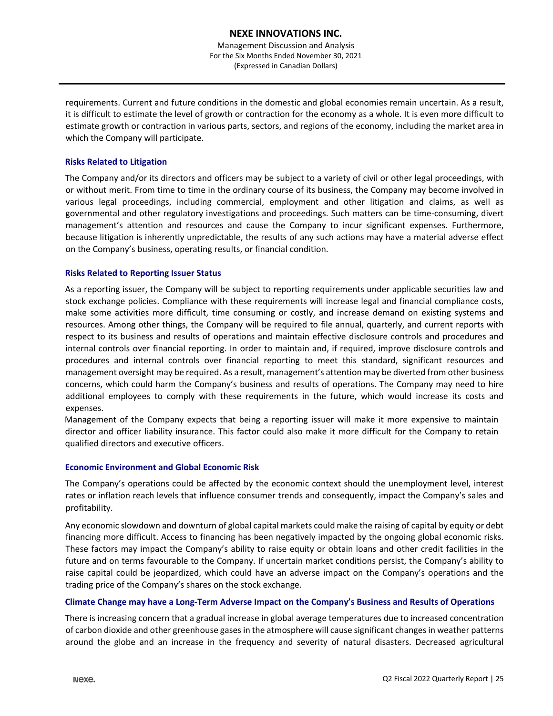requirements. Current and future conditions in the domestic and global economies remain uncertain. As a result, it is difficult to estimate the level of growth or contraction for the economy as a whole. It is even more difficult to estimate growth or contraction in various parts, sectors, and regions of the economy, including the market area in which the Company will participate.

# **Risks Related to Litigation**

The Company and/or its directors and officers may be subject to a variety of civil or other legal proceedings, with or without merit. From time to time in the ordinary course of its business, the Company may become involved in various legal proceedings, including commercial, employment and other litigation and claims, as well as governmental and other regulatory investigations and proceedings. Such matters can be time-consuming, divert management's attention and resources and cause the Company to incur significant expenses. Furthermore, because litigation is inherently unpredictable, the results of any such actions may have a material adverse effect on the Company's business, operating results, or financial condition.

# **Risks Related to Reporting Issuer Status**

As a reporting issuer, the Company will be subject to reporting requirements under applicable securities law and stock exchange policies. Compliance with these requirements will increase legal and financial compliance costs, make some activities more difficult, time consuming or costly, and increase demand on existing systems and resources. Among other things, the Company will be required to file annual, quarterly, and current reports with respect to its business and results of operations and maintain effective disclosure controls and procedures and internal controls over financial reporting. In order to maintain and, if required, improve disclosure controls and procedures and internal controls over financial reporting to meet this standard, significant resources and management oversight may be required. As a result, management's attention may be diverted from other business concerns, which could harm the Company's business and results of operations. The Company may need to hire additional employees to comply with these requirements in the future, which would increase its costs and expenses.

Management of the Company expects that being a reporting issuer will make it more expensive to maintain director and officer liability insurance. This factor could also make it more difficult for the Company to retain qualified directors and executive officers.

# **Economic Environment and Global Economic Risk**

The Company's operations could be affected by the economic context should the unemployment level, interest rates or inflation reach levels that influence consumer trends and consequently, impact the Company's sales and profitability.

Any economic slowdown and downturn of global capital markets could make the raising of capital by equity or debt financing more difficult. Access to financing has been negatively impacted by the ongoing global economic risks. These factors may impact the Company's ability to raise equity or obtain loans and other credit facilities in the future and on terms favourable to the Company. If uncertain market conditions persist, the Company's ability to raise capital could be jeopardized, which could have an adverse impact on the Company's operations and the trading price of the Company's shares on the stock exchange.

# **Climate Change may have a Long-Term Adverse Impact on the Company's Business and Results of Operations**

There is increasing concern that a gradual increase in global average temperatures due to increased concentration of carbon dioxide and other greenhouse gases in the atmosphere will cause significant changes in weather patterns around the globe and an increase in the frequency and severity of natural disasters. Decreased agricultural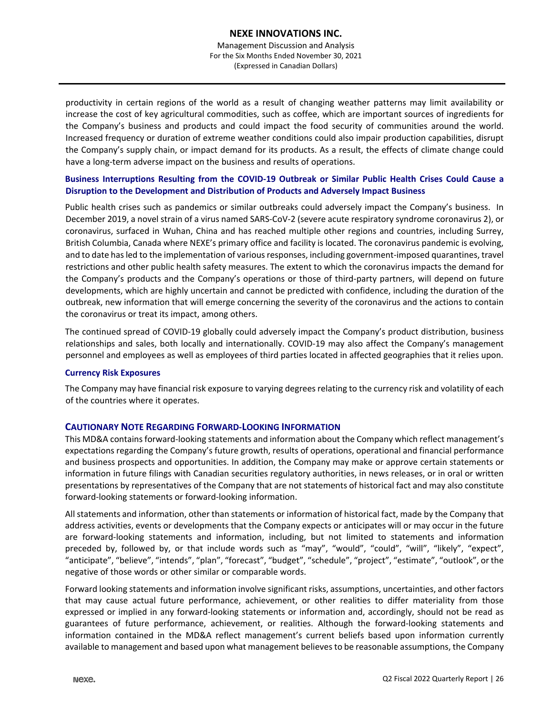productivity in certain regions of the world as a result of changing weather patterns may limit availability or increase the cost of key agricultural commodities, such as coffee, which are important sources of ingredients for the Company's business and products and could impact the food security of communities around the world. Increased frequency or duration of extreme weather conditions could also impair production capabilities, disrupt the Company's supply chain, or impact demand for its products. As a result, the effects of climate change could have a long-term adverse impact on the business and results of operations.

# **Business Interruptions Resulting from the COVID-19 Outbreak or Similar Public Health Crises Could Cause a Disruption to the Development and Distribution of Products and Adversely Impact Business**

Public health crises such as pandemics or similar outbreaks could adversely impact the Company's business. In December 2019, a novel strain of a virus named SARS-CoV-2 (severe acute respiratory syndrome coronavirus 2), or coronavirus, surfaced in Wuhan, China and has reached multiple other regions and countries, including Surrey, British Columbia, Canada where NEXE's primary office and facility is located. The coronavirus pandemic is evolving, and to date has led to the implementation of various responses, including government-imposed quarantines, travel restrictions and other public health safety measures. The extent to which the coronavirus impacts the demand for the Company's products and the Company's operations or those of third-party partners, will depend on future developments, which are highly uncertain and cannot be predicted with confidence, including the duration of the outbreak, new information that will emerge concerning the severity of the coronavirus and the actions to contain the coronavirus or treat its impact, among others.

The continued spread of COVID-19 globally could adversely impact the Company's product distribution, business relationships and sales, both locally and internationally. COVID-19 may also affect the Company's management personnel and employees as well as employees of third parties located in affected geographies that it relies upon.

# **Currency Risk Exposures**

The Company may have financial risk exposure to varying degrees relating to the currency risk and volatility of each of the countries where it operates.

# **CAUTIONARY NOTE REGARDING FORWARD-LOOKING INFORMATION**

This MD&A contains forward-looking statements and information about the Company which reflect management's expectations regarding the Company's future growth, results of operations, operational and financial performance and business prospects and opportunities. In addition, the Company may make or approve certain statements or information in future filings with Canadian securities regulatory authorities, in news releases, or in oral or written presentations by representatives of the Company that are not statements of historical fact and may also constitute forward-looking statements or forward-looking information.

All statements and information, other than statements or information of historical fact, made by the Company that address activities, events or developments that the Company expects or anticipates will or may occur in the future are forward-looking statements and information, including, but not limited to statements and information preceded by, followed by, or that include words such as "may", "would", "could", "will", "likely", "expect", "anticipate", "believe", "intends", "plan", "forecast", "budget", "schedule", "project", "estimate", "outlook", or the negative of those words or other similar or comparable words.

Forward looking statements and information involve significant risks, assumptions, uncertainties, and other factors that may cause actual future performance, achievement, or other realities to differ materiality from those expressed or implied in any forward-looking statements or information and, accordingly, should not be read as guarantees of future performance, achievement, or realities. Although the forward-looking statements and information contained in the MD&A reflect management's current beliefs based upon information currently available to management and based upon what management believes to be reasonable assumptions, the Company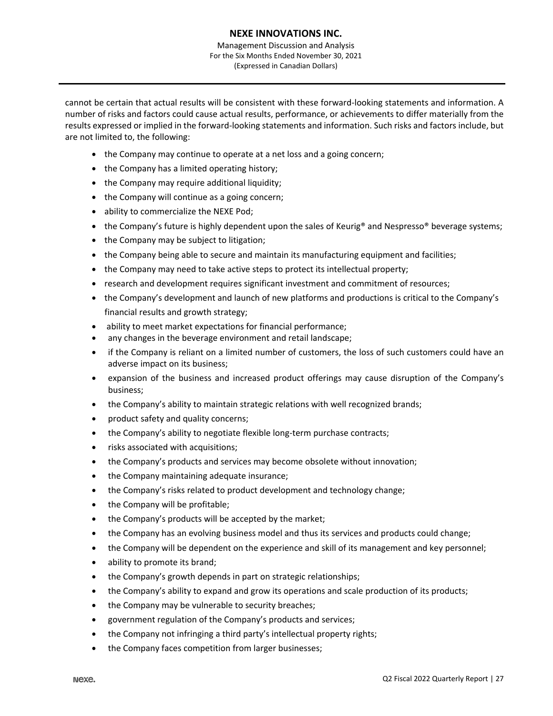Management Discussion and Analysis For the Six Months Ended November 30, 2021 (Expressed in Canadian Dollars)

cannot be certain that actual results will be consistent with these forward-looking statements and information. A number of risks and factors could cause actual results, performance, or achievements to differ materially from the results expressed or implied in the forward-looking statements and information. Such risks and factors include, but are not limited to, the following:

- the Company may continue to operate at a net loss and a going concern;
- the Company has a limited operating history;
- the Company may require additional liquidity;
- the Company will continue as a going concern;
- ability to commercialize the NEXE Pod;
- the Company's future is highly dependent upon the sales of Keurig<sup>®</sup> and Nespresso® beverage systems;
- the Company may be subject to litigation;
- the Company being able to secure and maintain its manufacturing equipment and facilities;
- the Company may need to take active steps to protect its intellectual property;
- research and development requires significant investment and commitment of resources;
- the Company's development and launch of new platforms and productions is critical to the Company's financial results and growth strategy;
- ability to meet market expectations for financial performance;
- any changes in the beverage environment and retail landscape;
- if the Company is reliant on a limited number of customers, the loss of such customers could have an adverse impact on its business;
- expansion of the business and increased product offerings may cause disruption of the Company's business;
- the Company's ability to maintain strategic relations with well recognized brands;
- product safety and quality concerns;
- the Company's ability to negotiate flexible long-term purchase contracts;
- risks associated with acquisitions;
- the Company's products and services may become obsolete without innovation;
- the Company maintaining adequate insurance;
- the Company's risks related to product development and technology change;
- the Company will be profitable;
- the Company's products will be accepted by the market;
- the Company has an evolving business model and thus its services and products could change;
- the Company will be dependent on the experience and skill of its management and key personnel;
- ability to promote its brand;
- the Company's growth depends in part on strategic relationships;
- the Company's ability to expand and grow its operations and scale production of its products;
- the Company may be vulnerable to security breaches;
- government regulation of the Company's products and services;
- the Company not infringing a third party's intellectual property rights;
- the Company faces competition from larger businesses;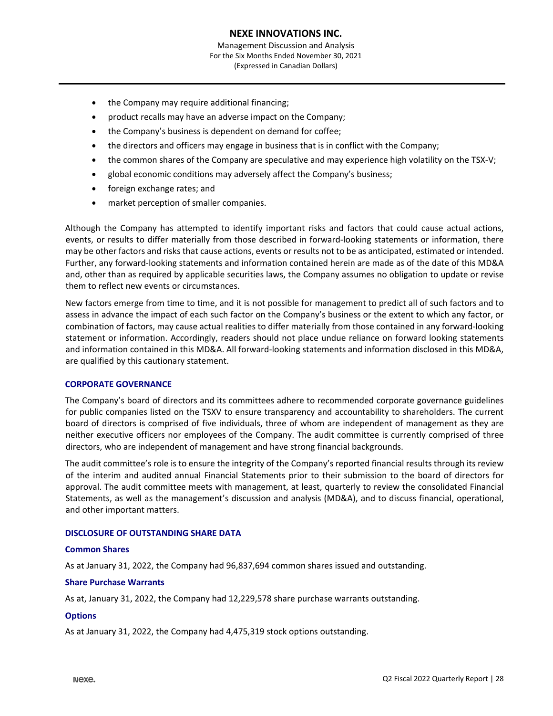- the Company may require additional financing;
- product recalls may have an adverse impact on the Company;
- the Company's business is dependent on demand for coffee;
- the directors and officers may engage in business that is in conflict with the Company;
- the common shares of the Company are speculative and may experience high volatility on the TSX-V;
- global economic conditions may adversely affect the Company's business;
- foreign exchange rates; and
- market perception of smaller companies.

Although the Company has attempted to identify important risks and factors that could cause actual actions, events, or results to differ materially from those described in forward-looking statements or information, there may be other factors and risks that cause actions, events or results not to be as anticipated, estimated or intended. Further, any forward-looking statements and information contained herein are made as of the date of this MD&A and, other than as required by applicable securities laws, the Company assumes no obligation to update or revise them to reflect new events or circumstances.

New factors emerge from time to time, and it is not possible for management to predict all of such factors and to assess in advance the impact of each such factor on the Company's business or the extent to which any factor, or combination of factors, may cause actual realities to differ materially from those contained in any forward-looking statement or information. Accordingly, readers should not place undue reliance on forward looking statements and information contained in this MD&A. All forward-looking statements and information disclosed in this MD&A, are qualified by this cautionary statement.

#### **CORPORATE GOVERNANCE**

The Company's board of directors and its committees adhere to recommended corporate governance guidelines for public companies listed on the TSXV to ensure transparency and accountability to shareholders. The current board of directors is comprised of five individuals, three of whom are independent of management as they are neither executive officers nor employees of the Company. The audit committee is currently comprised of three directors, who are independent of management and have strong financial backgrounds.

The audit committee's role is to ensure the integrity of the Company's reported financial results through its review of the interim and audited annual Financial Statements prior to their submission to the board of directors for approval. The audit committee meets with management, at least, quarterly to review the consolidated Financial Statements, as well as the management's discussion and analysis (MD&A), and to discuss financial, operational, and other important matters.

#### **DISCLOSURE OF OUTSTANDING SHARE DATA**

#### **Common Shares**

As at January 31, 2022, the Company had 96,837,694 common shares issued and outstanding.

#### **Share Purchase Warrants**

As at, January 31, 2022, the Company had 12,229,578 share purchase warrants outstanding.

#### **Options**

As at January 31, 2022, the Company had 4,475,319 stock options outstanding.